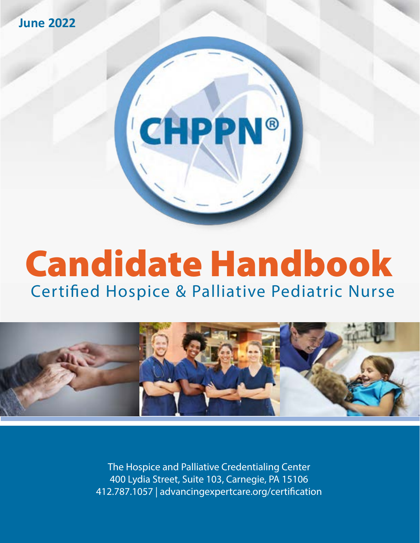**June 2022**

# CHPPN®

# **Candidate Handbook**

**Certified Hospice & Palliative Pediatric Nurse** 



The Hospice and Palliative Credentialing Center 400 Lydia Street, Suite 103, Carnegie, PA 15106 412.787.1057 | advancingexpertcare.org/certification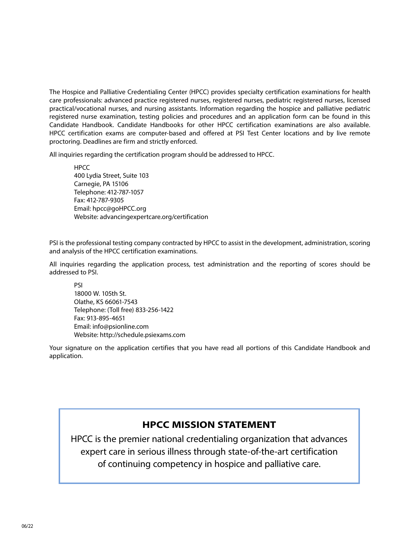The Hospice and Palliative Credentialing Center (HPCC) provides specialty certification examinations for health care professionals: advanced practice registered nurses, registered nurses, pediatric registered nurses, licensed practical/vocational nurses, and nursing assistants. Information regarding the hospice and palliative pediatric registered nurse examination, testing policies and procedures and an application form can be found in this Candidate Handbook. Candidate Handbooks for other HPCC certification examinations are also available. HPCC certification exams are computer-based and offered at PSI Test Center locations and by live remote proctoring. Deadlines are firm and strictly enforced.

All inquiries regarding the certification program should be addressed to HPCC.

**HPCC** 400 Lydia Street, Suite 103 Carnegie, PA 15106 Telephone: 412-787-1057 Fax: 412-787-9305 Email: hpcc@goHPCC.org Website: [advancingexpertcare.org/certification](http://advancingexpertcare.org/certification)

PSI is the professional testing company contracted by HPCC to assist in the development, administration, scoring and analysis of the HPCC certification examinations.

All inquiries regarding the application process, test administration and the reporting of scores should be addressed to PSI.

PSI 18000 W. 105th St. Olathe, KS 66061-7543 Telephone: (Toll free) 833-256-1422 Fax: 913-895-4651 Email: info@psionline.com Website: <http://schedule.psiexams.com>

Your signature on the application certifies that you have read all portions of this Candidate Handbook and application.

#### **HPCC MISSION STATEMENT**

HPCC is the premier national credentialing organization that advances expert care in serious illness through state-of-the-art certification of continuing competency in hospice and palliative care.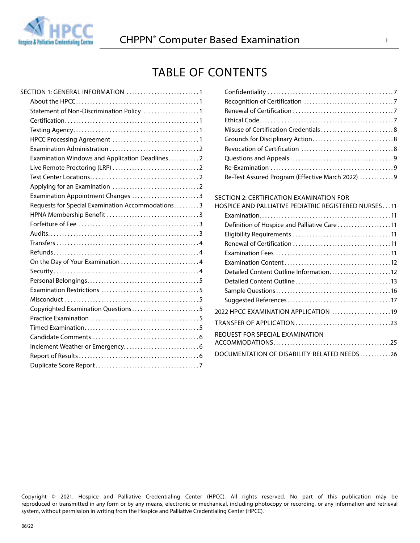

# TABLE OF CONTENTS

| SECTION 1: GENERAL INFORMATION 1                 |  |
|--------------------------------------------------|--|
|                                                  |  |
| Statement of Non-Discrimination Policy 1         |  |
|                                                  |  |
|                                                  |  |
|                                                  |  |
|                                                  |  |
| Examination Windows and Application Deadlines2   |  |
|                                                  |  |
|                                                  |  |
|                                                  |  |
| Examination Appointment Changes 3                |  |
| Requests for Special Examination Accommodations3 |  |
|                                                  |  |
|                                                  |  |
|                                                  |  |
|                                                  |  |
|                                                  |  |
|                                                  |  |
|                                                  |  |
|                                                  |  |
|                                                  |  |
|                                                  |  |
| Copyrighted Examination Questions5               |  |
|                                                  |  |
|                                                  |  |
|                                                  |  |
|                                                  |  |
|                                                  |  |
|                                                  |  |
|                                                  |  |

| Re-Test Assured Program (Effective March 2022)  9 |
|---------------------------------------------------|

[SECTION 2: CERTIFICATION EXAMINATION FOR](#page-14-0) 

| HOSPICE AND PALLIATIVE PEDIATRIC REGISTERED NURSES11 |
|------------------------------------------------------|
|                                                      |
| Definition of Hospice and Palliative Care  11        |
|                                                      |
|                                                      |
|                                                      |
|                                                      |
| Detailed Content Outline Information12               |
|                                                      |
|                                                      |
|                                                      |
| 2022 HPCC EXAMINATION APPLICATION 19                 |
|                                                      |
| REOUEST FOR SPECIAL EXAMINATION                      |
|                                                      |
| DOCUMENTATION OF DISABILITY-RELATED NEEDS26          |

Copyright © 2021. Hospice and Palliative Credentialing Center (HPCC). All rights reserved. No part of this publication may be reproduced or transmitted in any form or by any means, electronic or mechanical, including photocopy or recording, or any information and retrieval system, without permission in writing from the Hospice and Palliative Credentialing Center (HPCC).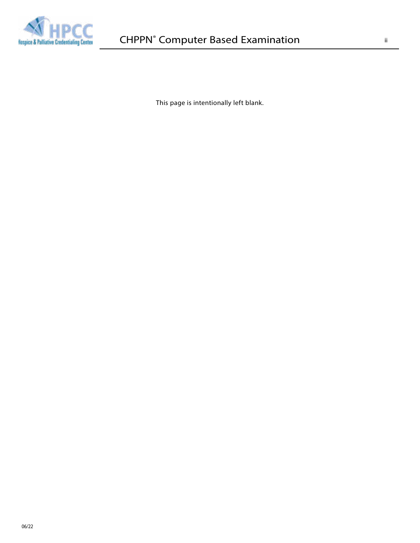

This page is intentionally left blank.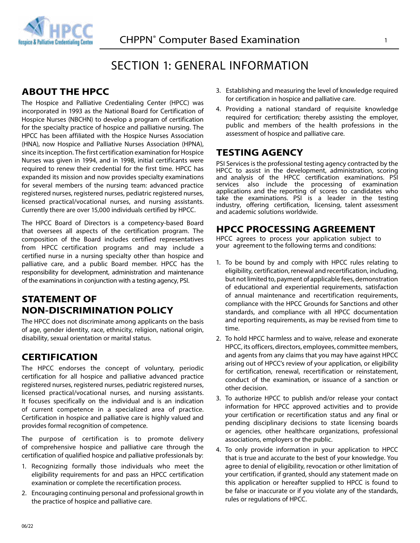<span id="page-4-0"></span>

# SECTION 1: GENERAL INFORMATION

# **ABOUT THE HPCC**

The Hospice and Palliative Credentialing Center (HPCC) was incorporated in 1993 as the National Board for Certification of Hospice Nurses (NBCHN) to develop a program of certification for the specialty practice of hospice and palliative nursing. The HPCC has been affiliated with the Hospice Nurses Association (HNA), now Hospice and Palliative Nurses Association (HPNA), since its inception. The first certification examination for Hospice Nurses was given in 1994, and in 1998, initial certificants were required to renew their credential for the first time. HPCC has expanded its mission and now provides specialty examinations for several members of the nursing team: advanced practice registered nurses, registered nurses, pediatric registered nurses, licensed practical/vocational nurses, and nursing assistants. Currently there are over 15,000 individuals certified by HPCC.

The HPCC Board of Directors is a competency-based Board that oversees all aspects of the certification program. The composition of the Board includes certified representatives from HPCC certification programs and may include a certified nurse in a nursing specialty other than hospice and palliative care, and a public Board member. HPCC has the responsibility for development, administration and maintenance of the examinations in conjunction with a testing agency, PSI.

# **STATEMENT OF NON-DISCRIMINATION POLICY**

The HPCC does not discriminate among applicants on the basis of age, gender identity, race, ethnicity, religion, national origin, disability, sexual orientation or marital status.

### **CERTIFICATION**

The HPCC endorses the concept of voluntary, periodic certification for all hospice and palliative advanced practice registered nurses, registered nurses, pediatric registered nurses, licensed practical/vocational nurses, and nursing assistants. It focuses specifically on the individual and is an indication of current competence in a specialized area of practice. Certification in hospice and palliative care is highly valued and provides formal recognition of competence.

The purpose of certification is to promote delivery of comprehensive hospice and palliative care through the certification of qualified hospice and palliative professionals by:

- 1. Recognizing formally those individuals who meet the eligibility requirements for and pass an HPCC certification examination or complete the recertification process.
- 2. Encouraging continuing personal and professional growth in the practice of hospice and palliative care.
- 3. Establishing and measuring the level of knowledge required for certification in hospice and palliative care.
- 4. Providing a national standard of requisite knowledge required for certification; thereby assisting the employer, public and members of the health professions in the assessment of hospice and palliative care.

#### **TESTING AGENCY**

PSI Services is the professional testing agency contracted by the HPCC to assist in the development, administration, scoring and analysis of the HPCC certification examinations. PSI services also include the processing of examination applications and the reporting of scores to candidates who take the examinations. PSI is a leader in the testing industry, offering certification, licensing, talent assessment and academic solutions worldwide.

#### **HPCC PROCESSING AGREEMENT**

HPCC agrees to process your application subject to your agreement to the following terms and conditions:

- 1. To be bound by and comply with HPCC rules relating to eligibility, certification, renewal and recertification, including, but not limited to, payment of applicable fees, demonstration of educational and experiential requirements, satisfaction of annual maintenance and recertification requirements, compliance with the HPCC Grounds for Sanctions and other standards, and compliance with all HPCC documentation and reporting requirements, as may be revised from time to time.
- 2. To hold HPCC harmless and to waive, release and exonerate HPCC, its officers, directors, employees, committee members, and agents from any claims that you may have against HPCC arising out of HPCC's review of your application, or eligibility for certification, renewal, recertification or reinstatement, conduct of the examination, or issuance of a sanction or other decision.
- 3. To authorize HPCC to publish and/or release your contact information for HPCC approved activities and to provide your certification or recertification status and any final or pending disciplinary decisions to state licensing boards or agencies, other healthcare organizations, professional associations, employers or the public.
- 4. To only provide information in your application to HPCC that is true and accurate to the best of your knowledge. You agree to denial of eligibility, revocation or other limitation of your certification, if granted, should any statement made on this application or hereafter supplied to HPCC is found to be false or inaccurate or if you violate any of the standards, rules or regulations of HPCC.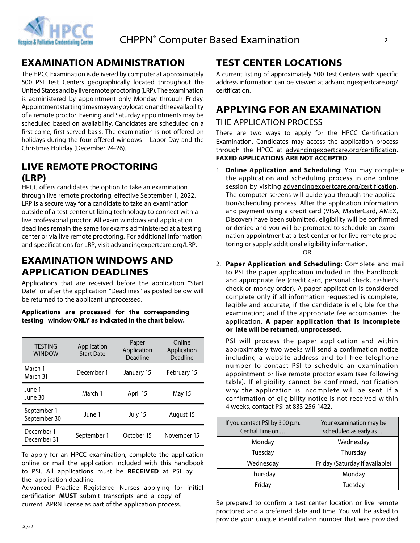<span id="page-5-0"></span>

# **EXAMINATION ADMINISTRATION**

The HPCC Examination is delivered by computer at approximately 500 PSI Test Centers geographically located throughout the United States and by live remote proctoring (LRP). The examination is administered by appointment only Monday through Friday. Appointment starting times may vary by location and the availability of a remote proctor. Evening and Saturday appointments may be scheduled based on availability. Candidates are scheduled on a first-come, first-served basis. The examination is not offered on holidays during the four offered windows – Labor Day and the Christmas Holiday (December 24-26).

#### **LIVE REMOTE PROCTORING (LRP)**

HPCC offers candidates the option to take an examination through live remote proctoring, effective September 1, 2022. LRP is a secure way for a candidate to take an examination outside of a test center utilizing technology to connect with a live professional proctor. All exam windows and application deadlines remain the same for exams administered at a testing center or via live remote proctoring. For additional information and specifications for LRP, visit [advancingexpertcare.org/LRP](https://advancingexpertcare.org/HPCC/Live%20Remote%20Proctoring.aspx).

#### **EXAMINATION WINDOWS AND APPLICATION DEADLINES**

Applications that are received before the application "Start Date" or after the application "Deadlines" as posted below will be returned to the applicant unprocessed.

**Applications are processed for the corresponding testing window ONLY as indicated in the chart below.**

| <b>TESTING</b><br><b>WINDOW</b> | Application<br><b>Start Date</b> | Paper<br>Application<br>Deadline | Online<br>Application<br>Deadline |
|---------------------------------|----------------------------------|----------------------------------|-----------------------------------|
| March 1-<br>March 31            | December 1                       | January 15                       | February 15                       |
| June 1-<br>June 30              | March 1                          | April 15                         | May 15                            |
| September 1-<br>September 30    | June 1                           | July 15                          | August 15                         |
| December 1 -<br>December 31     | September 1                      | October 15                       | November 15                       |

To apply for an HPCC examination, complete the application online or mail the application included with this handbook to PSI. All applications must be **RECEIVED** at PSI by the application deadline.

Advanced Practice Registered Nurses applying for initial certification **MUST** submit transcripts and a copy of current APRN license as part of the application process.

# **TEST CENTER LOCATIONS**

A current listing of approximately 500 Test Centers with specific address information can be viewed at [advancingexpertcare.org/](http://advancingexpertcare.org/certification) [certification.](http://advancingexpertcare.org/certification)

#### **APPLYING FOR AN EXAMINATION**

#### THE APPLICATION PROCESS

There are two ways to apply for the HPCC Certification Examination. Candidates may access the application process through the HPCC at [advancingexpertcare.org/certification](http://advancingexpertcare.org/certification). **FAXED APPLICATIONS ARE NOT ACCEPTED**.

1. **Online Application and Scheduling**: You may complete the application and scheduling process in one online session by visiting [advancingexpertcare.org/certification](http://advancingexpertcare.org/certification). The computer screens will guide you through the application/scheduling process. After the application information and payment using a credit card (VISA, MasterCard, AMEX, Discover) have been submitted, eligibility will be confirmed or denied and you will be prompted to schedule an examination appointment at a test center or for live remote proctoring or supply additional eligibility information.

OR

2. **Paper Application and Scheduling**: Complete and mail to PSI the paper application included in this handbook and appropriate fee (credit card, personal check, cashier's check or money order). A paper application is considered complete only if all information requested is complete, legible and accurate; if the candidate is eligible for the examination; and if the appropriate fee accompanies the application. **A paper application that is incomplete or late will be returned, unprocessed**.

PSI will process the paper application and within approximately two weeks will send a confirmation notice including a website address and toll-free telephone number to contact PSI to schedule an examination appointment or live remote proctor exam (see following table). If eligibility cannot be confirmed, notification why the application is incomplete will be sent. If a confirmation of eligibility notice is not received within 4 weeks, contact PSI at 833-256-1422.

| If you contact PSI by 3:00 p.m.<br>Central Time on | Your examination may be<br>scheduled as early as |
|----------------------------------------------------|--------------------------------------------------|
| Monday                                             | Wednesday                                        |
| Tuesday                                            | Thursday                                         |
| Wednesday                                          | Friday (Saturday if available)                   |
| Thursday                                           | Monday                                           |
| Friday                                             | Tuesday                                          |

Be prepared to confirm a test center location or live remote proctored and a preferred date and time. You will be asked to provide your unique identification number that was provided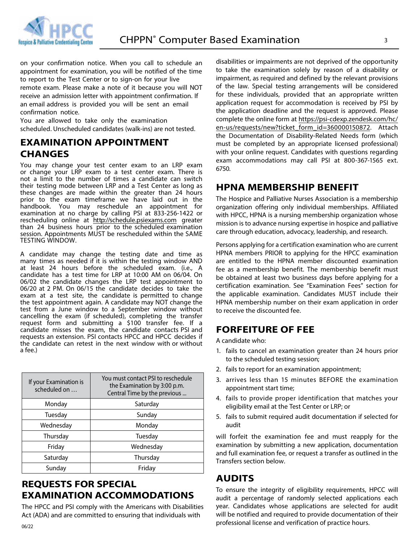

on your confirmation notice. When you call to schedule an appointment for examination, you will be notified of the time to report to the Test Center or to sign-on for your live remote exam. Please make a note of it because you will NOT receive an admission letter with appointment confirmation. If an email address is provided you will be sent an email confirmation notice.

You are allowed to take only the examination scheduled. Unscheduled candidates (walk-ins) are not tested.

#### **EXAMINATION APPOINTMENT CHANGES**

You may change your test center exam to an LRP exam or change your LRP exam to a test center exam. There is not a limit to the number of times a candidate can switch their testing mode between LRP and a Test Center as long as these changes are made within the greater than 24 hours prior to the exam timeframe we have laid out in the handbook. You may reschedule an appointment for examination at no charge by calling PSI at 833-256-1422 or rescheduling online at <http://schedule.psiexams.com>greater than 24 business hours prior to the scheduled examination session. Appointments MUST be rescheduled within the SAME TESTING WINDOW.

A candidate may change the testing date and time as many times as needed if it is within the testing window AND at least 24 hours before the scheduled exam. (i.e., A candidate has a test time for LRP at 10:00 AM on 06/04. On 06/02 the candidate changes the LRP test appointment to 06/20 at 2 PM. On 06/15 the candidate decides to take the exam at a test site, the candidate is permitted to change the test appointment again. A candidate may NOT change the test from a June window to a September window without cancelling the exam (if scheduled), completing the transfer request form and submitting a \$100 transfer fee. If a candidate misses the exam, the candidate contacts PSI and requests an extension. PSI contacts HPCC and HPCC decides if the candidate can retest in the next window with or without a fee.)

| If your Examination is<br>scheduled on | You must contact PSI to reschedule<br>the Examination by 3:00 p.m.<br>Central Time by the previous |  |  |
|----------------------------------------|----------------------------------------------------------------------------------------------------|--|--|
| Monday                                 | Saturday                                                                                           |  |  |
| Tuesday                                | Sunday                                                                                             |  |  |
| Wednesday                              | Monday                                                                                             |  |  |
| Thursday                               | Tuesday                                                                                            |  |  |
| Friday                                 | Wednesday                                                                                          |  |  |
| Saturday                               | Thursday                                                                                           |  |  |
| Sunday                                 | Friday                                                                                             |  |  |

# **REQUESTS FOR SPECIAL EXAMINATION ACCOMMODATIONS**

The HPCC and PSI comply with the Americans with Disabilities Act (ADA) and are committed to ensuring that individuals with

disabilities or impairments are not deprived of the opportunity to take the examination solely by reason of a disability or impairment, as required and defined by the relevant provisions of the law. Special testing arrangements will be considered for these individuals, provided that an appropriate written application request for accommodation is received by PSI by the application deadline and the request is approved. Please complete the online form at [https://psi-cdexp.zendesk.com/hc/](https://psi-cdexp.zendesk.com/hc/en-us/requests/new?ticket_form_id=360000150872) [en-us/requests/new?ticket\\_form\\_id=360000150872.](https://psi-cdexp.zendesk.com/hc/en-us/requests/new?ticket_form_id=360000150872) Attach the Documentation of Disability-Related Needs form (which must be completed by an appropriate licensed professional) with your online request. Candidates with questions regarding exam accommodations may call PSI at 800-367-1565 ext. 6750.

#### **HPNA MEMBERSHIP BENEFIT**

The Hospice and Palliative Nurses Association is a membership organization offering only individual memberships. Affiliated with HPCC, HPNA is a nursing membership organization whose mission is to advance nursing expertise in hospice and palliative care through education, advocacy, leadership, and research.

Persons applying for a certification examination who are current HPNA members PRIOR to applying for the HPCC examination are entitled to the HPNA member discounted examination fee as a membership benefit. The membership benefit must be obtained at least two business days before applying for a certification examination. See "Examination Fees" section for the applicable examination. Candidates MUST include their HPNA membership number on their exam application in order to receive the discounted fee.

#### **FORFEITURE OF FEE**

A candidate who:

- 1. fails to cancel an examination greater than 24 hours prior to the scheduled testing session;
- 2. fails to report for an examination appointment;
- 3. arrives less than 15 minutes BEFORE the examination appointment start time;
- 4. fails to provide proper identification that matches your eligibility email at the Test Center or LRP; or
- 5. fails to submit required audit documentation if selected for audit

will forfeit the examination fee and must reapply for the examination by submitting a new application, documentation and full examination fee, or request a transfer as outlined in the Transfers section below.

#### **AUDITS**

To ensure the integrity of eligibility requirements, HPCC will audit a percentage of randomly selected applications each year. Candidates whose applications are selected for audit will be notified and required to provide documentation of their professional license and verification of practice hours. <sup>0</sup>6/22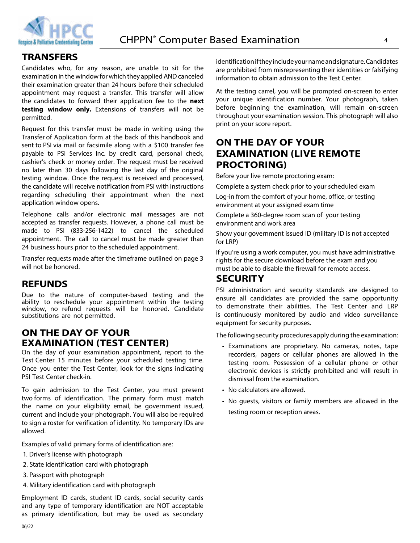<span id="page-7-0"></span>

#### **TRANSFERS**

Candidates who, for any reason, are unable to sit for the examination in the window for which they applied AND canceled their examination greater than 24 hours before their scheduled appointment may request a transfer. This transfer will allow the candidates to forward their application fee to the **next testing window only.** Extensions of transfers will not be permitted.

Request for this transfer must be made in writing using the Transfer of Application form at the back of this handbook and sent to PSI via mail or facsimile along with a \$100 transfer fee payable to PSI Services Inc. by credit card, personal check, cashier's check or money order. The request must be received no later than 30 days following the last day of the original testing window. Once the request is received and processed, the candidate will receive notification from PSI with instructions regarding scheduling their appointment when the next application window opens.

Telephone calls and/or electronic mail messages are not accepted as transfer requests. However, a phone call must be made to PSI (833-256-1422) to cancel the scheduled appointment. The call to cancel must be made greater than 24 business hours prior to the scheduled appointment.

Transfer requests made after the timeframe outlined on page 3 will not be honored.

#### **REFUNDS**

Due to the nature of computer-based testing and the ability to reschedule your appointment within the testing window, no refund requests will be honored. Candidate substitutions are not permitted.

#### **ON THE DAY OF YOUR EXAMINATION (TEST CENTER)**

On the day of your examination appointment, report to the Test Center 15 minutes before your scheduled testing time. Once you enter the Test Center, look for the signs indicating PSI Test Center check-in.

To gain admission to the Test Center, you must present two forms of identification. The primary form must match the name on your eligibility email, be government issued, current and include your photograph. You will also be required to sign a roster for verification of identity. No temporary IDs are allowed.

Examples of valid primary forms of identification are:

- 1. Driver's license with photograph
- 2. State identification card with photograph
- 3. Passport with photograph
- 4. Military identification card with photograph

Employment ID cards, student ID cards, social security cards and any type of temporary identification are NOT acceptable as primary identification, but may be used as secondary

identification if they include your name and signature. Candidates are prohibited from misrepresenting their identities or falsifying information to obtain admission to the Test Center.

At the testing carrel, you will be prompted on-screen to enter your unique identification number. Your photograph, taken before beginning the examination, will remain on-screen throughout your examination session. This photograph will also print on your score report.

#### **ON THE DAY OF YOUR EXAMINATION (LIVE REMOTE PROCTORING)**

Before your live remote proctoring exam:

Complete a system check prior to your scheduled exam

Log-in from the comfort of your home, office, or testing environment at your assigned exam time

Complete a 360-degree room scan of your testing environment and work area

Show your government issued ID (military ID is not accepted for LRP)

If you're using a work computer, you must have administrative rights for the secure download before the exam and you must be able to disable the firewall for remote access.

#### **SECURITY**

PSI administration and security standards are designed to ensure all candidates are provided the same opportunity to demonstrate their abilities. The Test Center and LRP is continuously monitored by audio and video surveillance equipment for security purposes.

The following security procedures apply during the examination:

- Examinations are proprietary. No cameras, notes, tape recorders, pagers or cellular phones are allowed in the testing room. Possession of a cellular phone or other electronic devices is strictly prohibited and will result in dismissal from the examination.
- No calculators are allowed.
- No guests, visitors or family members are allowed in the testing room or reception areas.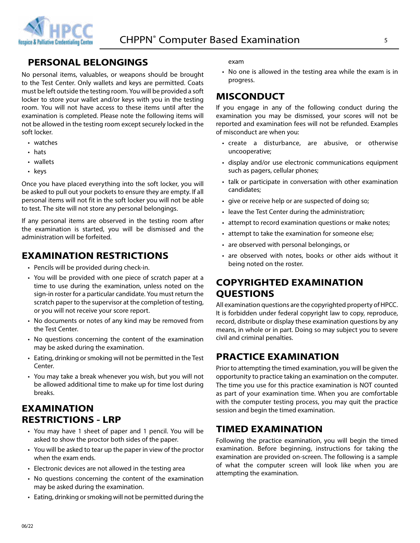<span id="page-8-0"></span>

#### **PERSONAL BELONGINGS**

No personal items, valuables, or weapons should be brought to the Test Center. Only wallets and keys are permitted. Coats must be left outside the testing room. You will be provided a soft locker to store your wallet and/or keys with you in the testing room. You will not have access to these items until after the examination is completed. Please note the following items will not be allowed in the testing room except securely locked in the soft locker.

- watches
- hats
- wallets
- keys

Once you have placed everything into the soft locker, you will be asked to pull out your pockets to ensure they are empty. If all personal items will not fit in the soft locker you will not be able to test. The site will not store any personal belongings.

If any personal items are observed in the testing room after the examination is started, you will be dismissed and the administration will be forfeited.

### **EXAMINATION RESTRICTIONS**

- Pencils will be provided during check-in.
- You will be provided with one piece of scratch paper at a time to use during the examination, unless noted on the sign-in roster for a particular candidate. You must return the scratch paper to the supervisor at the completion of testing, or you will not receive your score report.
- No documents or notes of any kind may be removed from the Test Center.
- No questions concerning the content of the examination may be asked during the examination.
- Eating, drinking or smoking will not be permitted in the Test Center.
- You may take a break whenever you wish, but you will not be allowed additional time to make up for time lost during breaks.

### **EXAMINATION RESTRICTIONS - LRP**

- You may have 1 sheet of paper and 1 pencil. You will be asked to show the proctor both sides of the paper.
- You will be asked to tear up the paper in view of the proctor when the exam ends.
- Electronic devices are not allowed in the testing area
- No questions concerning the content of the examination may be asked during the examination.
- Eating, drinking or smoking will not be permitted during the

exam

• No one is allowed in the testing area while the exam is in progress.

#### **MISCONDUCT**

If you engage in any of the following conduct during the examination you may be dismissed, your scores will not be reported and examination fees will not be refunded. Examples of misconduct are when you:

- create a disturbance, are abusive, or otherwise uncooperative;
- display and/or use electronic communications equipment such as pagers, cellular phones;
- talk or participate in conversation with other examination candidates;
- give or receive help or are suspected of doing so;
- leave the Test Center during the administration;
- attempt to record examination questions or make notes;
- attempt to take the examination for someone else;
- are observed with personal belongings, or
- are observed with notes, books or other aids without it being noted on the roster.

# **COPYRIGHTED EXAMINATION QUESTIONS**

All examination questions are the copyrighted property of HPCC. It is forbidden under federal copyright law to copy, reproduce, record, distribute or display these examination questions by any means, in whole or in part. Doing so may subject you to severe civil and criminal penalties.

### **PRACTICE EXAMINATION**

Prior to attempting the timed examination, you will be given the opportunity to practice taking an examination on the computer. The time you use for this practice examination is NOT counted as part of your examination time. When you are comfortable with the computer testing process, you may quit the practice session and begin the timed examination.

### **TIMED EXAMINATION**

Following the practice examination, you will begin the timed examination. Before beginning, instructions for taking the examination are provided on-screen. The following is a sample of what the computer screen will look like when you are attempting the examination.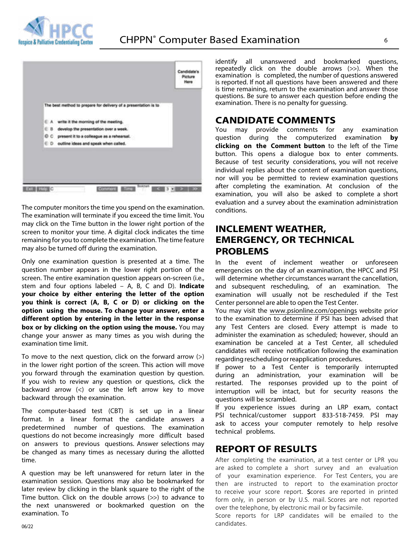<span id="page-9-0"></span>



The computer monitors the time you spend on the examination. The examination will terminate if you exceed the time limit. You may click on the Time button in the lower right portion of the screen to monitor your time. A digital clock indicates the time remaining for you to complete the examination. The time feature may also be turned off during the examination.

Only one examination question is presented at a time. The question number appears in the lower right portion of the screen. The entire examination question appears on-screen (i.e., stem and four options labeled – A, B, C and D). **Indicate your choice by either entering the letter of the option you think is correct (A, B, C or D) or clicking on the option using the mouse. To change your answer, enter a different option by entering in the letter in the response box or by clicking on the option using the mouse.** You may change your answer as many times as you wish during the examination time limit.

To move to the next question, click on the forward arrow (>) in the lower right portion of the screen. This action will move you forward through the examination question by question. If you wish to review any question or questions, click the backward arrow (<) or use the left arrow key to move backward through the examination.

The computer-based test (CBT) is set up in a linear format. In a linear format the candidate answers a predetermined number of questions. The examination questions do not become increasingly more difficult based on answers to previous questions. Answer selections may be changed as many times as necessary during the allotted time.

A question may be left unanswered for return later in the examination session. Questions may also be bookmarked for later review by clicking in the blank square to the right of the Time button. Click on the double arrows  $(>>)$  to advance to the next unanswered or bookmarked question on the examination. To

identify all unanswered and bookmarked questions, repeatedly click on the double arrows (>>). When the examination is completed, the number of questions answered is reported. If not all questions have been answered and there is time remaining, return to the examination and answer those questions. Be sure to answer each question before ending the examination. There is no penalty for guessing.

#### **CANDIDATE COMMENTS**

You may provide comments for any examination question during the computerized examination **by clicking on the Comment button** to the left of the Time button. This opens a dialogue box to enter comments. Because of test security considerations, you will not receive individual replies about the content of examination questions, nor will you be permitted to review examination questions after completing the examination. At conclusion of the examination, you will also be asked to complete a short evaluation and a survey about the examination administration conditions.

#### **INCLEMENT WEATHER, EMERGENCY, OR TECHNICAL PROBLEMS**

In the event of inclement weather or unforeseen emergencies on the day of an examination, the HPCC and PSI will determine whether circumstances warrant the cancellation, and subsequent rescheduling, of an examination. The examination will usually not be rescheduled if the Test Center personnel are able to open the Test Center.

You may visit the [www.](https://www.psionline.com/openings)psionline.com/openings website prior to the examination to determine if PSI has been advised that any Test Centers are closed. Every attempt is made to administer the examination as scheduled; however, should an examination be canceled at a Test Center, all scheduled candidates will receive notification following the examination regarding rescheduling or reapplication procedures.

If power to a Test Center is temporarily interrupted during an administration, your examination will be restarted. The responses provided up to the point of interruption will be intact, but for security reasons the questions will be scrambled.

If you experience issues during an LRP exam, contact PSI technical/customer support 833-518-7459. PSI may ask to access your computer remotely to help resolve technical problems.

#### **REPORT OF RESULTS**

After completing the examination, at a test center or LPR you are asked to complete a short survey and an evaluation of your examination experience. For Test Centers, you are then are instructed to report to the examination proctor to receive your score report. Scores are reported in printed form only, in person or by U.S. mail. Scores are not reported over the telephone, by electronic mail or by facsimile.

Score reports for LRP candidates will be emailed to the candidates.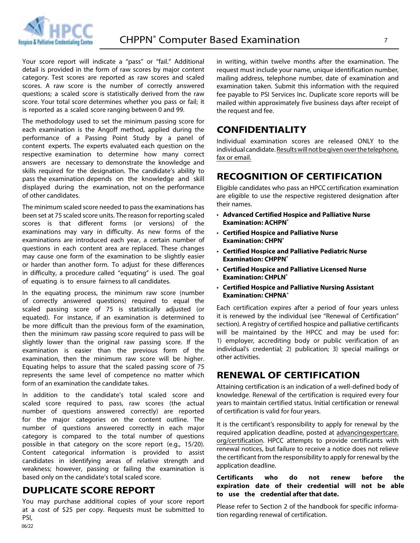<span id="page-10-0"></span>

Your score report will indicate a "pass" or "fail." Additional detail is provided in the form of raw scores by major content category. Test scores are reported as raw scores and scaled scores. A raw score is the number of correctly answered questions; a scaled score is statistically derived from the raw score. Your total score determines whether you pass or fail; it is reported as a scaled score ranging between 0 and 99.

The methodology used to set the minimum passing score for each examination is the Angoff method, applied during the performance of a Passing Point Study by a panel of content experts. The experts evaluated each question on the respective examination to determine how many correct answers are necessary to demonstrate the knowledge and skills required for the designation. The candidate's ability to pass the examination depends on the knowledge and skill displayed during the examination, not on the performance of other candidates.

The minimum scaled score needed to pass the examinations has been set at 75 scaled score units. The reason for reporting scaled scores is that different forms (or versions) of the examinations may vary in difficulty. As new forms of the examinations are introduced each year, a certain number of questions in each content area are replaced. These changes may cause one form of the examination to be slightly easier or harder than another form. To adjust for these differences in difficulty, a procedure called "equating" is used. The goal of equating is to ensure fairness to all candidates.

In the equating process, the minimum raw score (number of correctly answered questions) required to equal the scaled passing score of 75 is statistically adjusted (or equated). For instance, if an examination is determined to be more difficult than the previous form of the examination, then the minimum raw passing score required to pass will be slightly lower than the original raw passing score. If the examination is easier than the previous form of the examination, then the minimum raw score will be higher. Equating helps to assure that the scaled passing score of 75 represents the same level of competence no matter which form of an examination the candidate takes.

In addition to the candidate's total scaled score and scaled score required to pass, raw scores (the actual number of questions answered correctly) are reported for the major categories on the content outline. The number of questions answered correctly in each major category is compared to the total number of questions possible in that category on the score report (e.g., 15/20). Content categorical information is provided to assist candidates in identifying areas of relative strength and weakness; however, passing or failing the examination is based only on the candidate's total scaled score.

#### **DUPLICATE SCORE REPORT**

06/22

You may purchase additional copies of your score report at a cost of \$25 per copy. Requests must be submitted to PSI,

in writing, within twelve months after the examination. The request must include your name, unique identification number, mailing address, telephone number, date of examination and examination taken. Submit this information with the required fee payable to PSI Services Inc. Duplicate score reports will be mailed within approximately five business days after receipt of the request and fee.

#### **CONFIDENTIALITY**

Individual examination scores are released ONLY to the individual candidate. Results will not be given over the telephone, fax or email.

### **RECOGNITION OF CERTIFICATION**

Eligible candidates who pass an HPCC certification examination are eligible to use the respective registered designation after their names.

- **Advanced Certified Hospice and Palliative Nurse Examination: ACHPN®**
- **Certified Hospice and Palliative Nurse Examination: CHPN®**
- **Certified Hospice and Palliative Pediatric Nurse Examination: CHPPN®**
- **Certified Hospice and Palliative Licensed Nurse Examination: CHPLN®**
- **Certified Hospice and Palliative Nursing Assistant Examination: CHPNA®**

Each certification expires after a period of four years unless it is renewed by the individual (see "Renewal of Certification" section). A registry of certified hospice and palliative certificants will be maintained by the HPCC and may be used for: 1) employer, accrediting body or public verification of an individual's credential; 2) publication; 3) special mailings or other activities.

#### **RENEWAL OF CERTIFICATION**

Attaining certification is an indication of a well-defined body of knowledge. Renewal of the certification is required every four years to maintain certified status. Initial certification or renewal of certification is valid for four years.

It is the certificant's responsibility to apply for renewal by the required application deadline, posted at [advancingexpertcare.](http://advancingexpertcare.org/certification) [org/certification](http://advancingexpertcare.org/certification). HPCC attempts to provide certificants with renewal notices, but failure to receive a notice does not relieve the certificant from the responsibility to apply for renewal by the application deadline.

#### **Certificants who do not renew before the expiration date of their credential will not be able to use the credential after that date.**

Please refer to Section 2 of the handbook for specific information regarding renewal of certification.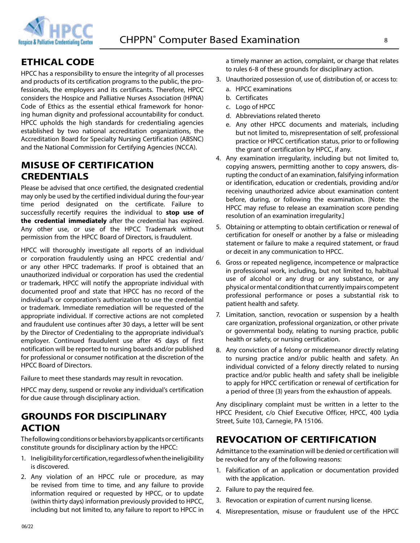<span id="page-11-0"></span>

# **ETHICAL CODE**

HPCC has a responsibility to ensure the integrity of all processes and products of its certification programs to the public, the professionals, the employers and its certificants. Therefore, HPCC considers the Hospice and Palliative Nurses Association (HPNA) Code of Ethics as the essential ethical framework for honoring human dignity and professional accountability for conduct. HPCC upholds the high standards for credentialing agencies established by two national accreditation organizations, the Accreditation Board for Specialty Nursing Certification (ABSNC) and the National Commission for Certifying Agencies (NCCA).

#### **MISUSE OF CERTIFICATION CREDENTIALS**

Please be advised that once certified, the designated credential may only be used by the certified individual during the four-year time period designated on the certificate. Failure to successfully recertify requires the individual to **stop use of the credential immediately** after the credential has expired. Any other use, or use of the HPCC Trademark without permission from the HPCC Board of Directors, is fraudulent.

HPCC will thoroughly investigate all reports of an individual or corporation fraudulently using an HPCC credential and/ or any other HPCC trademarks. If proof is obtained that an unauthorized individual or corporation has used the credential or trademark, HPCC will notify the appropriate individual with documented proof and state that HPCC has no record of the individual's or corporation's authorization to use the credential or trademark. Immediate remediation will be requested of the appropriate individual. If corrective actions are not completed and fraudulent use continues after 30 days, a letter will be sent by the Director of Credentialing to the appropriate individual's employer. Continued fraudulent use after 45 days of first notification will be reported to nursing boards and/or published for professional or consumer notification at the discretion of the HPCC Board of Directors.

Failure to meet these standards may result in revocation.

HPCC may deny, suspend or revoke any individual's certification for due cause through disciplinary action.

# **GROUNDS FOR DISCIPLINARY ACTION**

The following conditions or behaviors by applicants or certificants constitute grounds for disciplinary action by the HPCC:

- 1. Ineligibility for certification, regardless of when the ineligibility is discovered.
- 2. Any violation of an HPCC rule or procedure, as may be revised from time to time, and any failure to provide information required or requested by HPCC, or to update (within thirty days) information previously provided to HPCC, including but not limited to, any failure to report to HPCC in

a timely manner an action, complaint, or charge that relates to rules 6-8 of these grounds for disciplinary action.

- 3. Unauthorized possession of, use of, distribution of, or access to:
	- a. HPCC examinations
	- b. Certificates
	- c. Logo of HPCC
	- d. Abbreviations related thereto
	- e. Any other HPCC documents and materials, including but not limited to, misrepresentation of self, professional practice or HPCC certification status, prior to or following the grant of certification by HPCC, if any.
- 4. Any examination irregularity, including but not limited to, copying answers, permitting another to copy answers, disrupting the conduct of an examination, falsifying information or identification, education or credentials, providing and/or receiving unauthorized advice about examination content before, during, or following the examination. [Note: the HPCC may refuse to release an examination score pending resolution of an examination irregularity.]
- 5. Obtaining or attempting to obtain certification or renewal of certification for oneself or another by a false or misleading statement or failure to make a required statement, or fraud or deceit in any communication to HPCC.
- 6. Gross or repeated negligence, incompetence or malpractice in professional work, including, but not limited to, habitual use of alcohol or any drug or any substance, or any physical or mental condition that currently impairs competent professional performance or poses a substantial risk to patient health and safety.
- 7. Limitation, sanction, revocation or suspension by a health care organization, professional organization, or other private or governmental body, relating to nursing practice, public health or safety, or nursing certification.
- 8. Any conviction of a felony or misdemeanor directly relating to nursing practice and/or public health and safety. An individual convicted of a felony directly related to nursing practice and/or public health and safety shall be ineligible to apply for HPCC certification or renewal of certification for a period of three (3) years from the exhaustion of appeals.

Any disciplinary complaint must be written in a letter to the HPCC President, c/o Chief Executive Officer, HPCC, 400 Lydia Street, Suite 103, Carnegie, PA 15106.

### **REVOCATION OF CERTIFICATION**

Admittance to the examination will be denied or certification will be revoked for any of the following reasons:

- 1. Falsification of an application or documentation provided with the application.
- 2. Failure to pay the required fee.
- 3. Revocation or expiration of current nursing license.
- 4. Misrepresentation, misuse or fraudulent use of the HPCC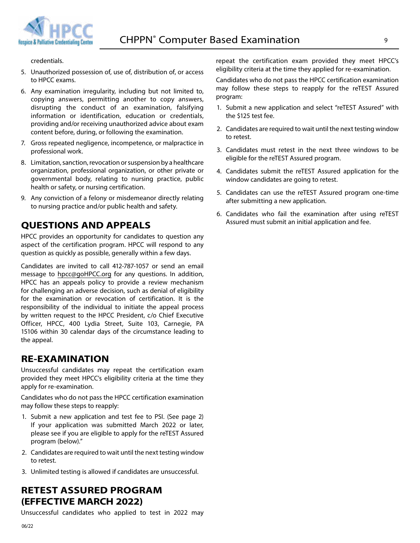

credentials.

- 5. Unauthorized possession of, use of, distribution of, or access to HPCC exams.
- 6. Any examination irregularity, including but not limited to, copying answers, permitting another to copy answers, disrupting the conduct of an examination, falsifying information or identification, education or credentials, providing and/or receiving unauthorized advice about exam content before, during, or following the examination.
- 7. Gross repeated negligence, incompetence, or malpractice in professional work.
- 8. Limitation, sanction, revocation or suspension by a healthcare organization, professional organization, or other private or governmental body, relating to nursing practice, public health or safety, or nursing certification.
- 9. Any conviction of a felony or misdemeanor directly relating to nursing practice and/or public health and safety.

#### **QUESTIONS AND APPEALS**

HPCC provides an opportunity for candidates to question any aspect of the certification program. HPCC will respond to any question as quickly as possible, generally within a few days.

Candidates are invited to call 412-787-1057 or send an email message to hpcc@goHPCC.org for any questions. In addition, HPCC has an appeals policy to provide a review mechanism for challenging an adverse decision, such as denial of eligibility for the examination or revocation of certification. It is the responsibility of the individual to initiate the appeal process by written request to the HPCC President, c/o Chief Executive Officer, HPCC, 400 Lydia Street, Suite 103, Carnegie, PA 15106 within 30 calendar days of the circumstance leading to the appeal.

#### **RE-EXAMINATION**

Unsuccessful candidates may repeat the certification exam provided they meet HPCC's eligibility criteria at the time they apply for re-examination.

Candidates who do not pass the HPCC certification examination may follow these steps to reapply:

- 1. Submit a new application and test fee to PSI. (See page 2) If your application was submitted March 2022 or later, please see if you are eligible to apply for the reTEST Assured program (below)."
- 2. Candidates are required to wait until the next testing window to retest.
- 3. Unlimited testing is allowed if candidates are unsuccessful.

### **RETEST ASSURED PROGRAM (EFFECTIVE MARCH 2022)**

Unsuccessful candidates who applied to test in 2022 may

repeat the certification exam provided they meet HPCC's eligibility criteria at the time they applied for re-examination.

Candidates who do not pass the HPCC certification examination may follow these steps to reapply for the reTEST Assured program:

- 1. Submit a new application and select "reTEST Assured" with the \$125 test fee.
- 2. Candidates are required to wait until the next testing window to retest.
- 3. Candidates must retest in the next three windows to be eligible for the reTEST Assured program.
- 4. Candidates submit the reTEST Assured application for the window candidates are going to retest.
- 5. Candidates can use the reTEST Assured program one-time after submitting a new application.
- 6. Candidates who fail the examination after using reTEST Assured must submit an initial application and fee.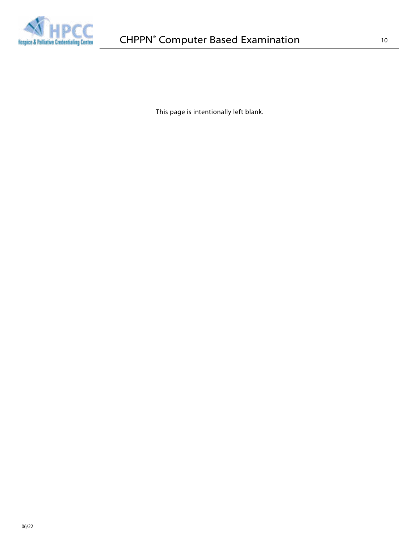

This page is intentionally left blank.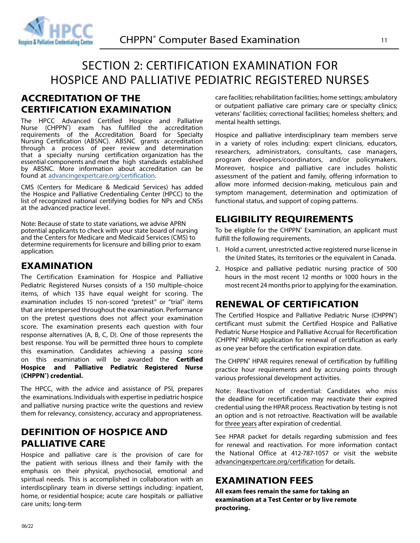<span id="page-14-0"></span>

# SECTION 2: CERTIFICATION EXAMINATION FOR HOSPICE AND PALLIATIVE PEDIATRIC REGISTERED NURSES

#### **ACCREDITATION OF THE CERTIFICATION EXAMINATION**

The HPCC Advanced Certified Hospice and Palliative Nurse (CHPPN<sup>®</sup>) exam has fulfilled the accreditation requirements of the Accreditation Board for Specialty Nursing Certification (ABSNC). ABSNC grants accreditation through a process of peer review and determination that a specialty nursing certification organization has the essential components and met the high standards established by ABSNC. More information about accreditation can be found at [advancingexpertcare.org/certification.](http://advancingexpertcare.org/certification)

CMS (Centers for Medicare & Medicaid Services) has added the Hospice and Palliative Credentialing Center (HPCC) to the list of recognized national certifying bodies for NPs and CNSs at the advanced practice level.

Note: Because of state to state variations, we advise APRN potential applicants to check with your state board of nursing and the Centers for Medicare and Medicaid Services (CMS) to determine requirements for licensure and billing prior to exam application.

#### **EXAMINATION**

The Certification Examination for Hospice and Palliative Pediatric Registered Nurses consists of a 150 multiple-choice items, of which 135 have equal weight for scoring. The examination includes 15 non-scored "pretest" or "trial" items that are interspersed throughout the examination. Performance on the pretest questions does not affect your examination score. The examination presents each question with four response alternatives (A, B, C, D). One of those represents the best response. You will be permitted three hours to complete this examination. Candidates achieving a passing score on this examination will be awarded the **Certified Hospice and Palliative Pediatric Registered Nurse (CHPPN® ) credential.** 

The HPCC, with the advice and assistance of PSI, prepares the examinations. Individuals with expertise in pediatric hospice and palliative nursing practice write the questions and review them for relevancy, consistency, accuracy and appropriateness.

#### **DEFINITION OF HOSPICE AND PALLIATIVE CARE**

Hospice and palliative care is the provision of care for the patient with serious illness and their family with the emphasis on their physical, psychosocial, emotional and spiritual needs. This is accomplished in collaboration with an interdisciplinary team in diverse settings including: inpatient, home, or residential hospice; acute care hospitals or palliative care units; long-term

care facilities; rehabilitation facilities; home settings; ambulatory or outpatient palliative care primary care or specialty clinics; veterans' facilities; correctional facilities; homeless shelters; and mental health settings.

Hospice and palliative interdisciplinary team members serve in a variety of roles including: expert clinicians, educators, researchers, administrators, consultants, case managers, program developers/coordinators, and/or policymakers. Moreover, hospice and palliative care includes holistic assessment of the patient and family, offering information to allow more informed decision-making, meticulous pain and symptom management, determination and optimization of functional status, and support of coping patterns.

### **ELIGIBILITY REQUIREMENTS**

To be eligible for the CHPPN<sup>®</sup> Examination, an applicant must fulfill the following requirements.

- 1. Hold a current, unrestricted active registered nurse license in the United States, its territories or the equivalent in Canada.
- 2. Hospice and palliative pediatric nursing practice of 500 hours in the most recent 12 months or 1000 hours in the most recent 24 months prior to applying for the examination.

### **RENEWAL OF CERTIFICATION**

The Certified Hospice and Palliative Pediatric Nurse (CHPPN®) certificant must submit the Certified Hospice and Palliative Pediatric Nurse Hospice and Palliative Accrual for Recertification (CHPPN<sup>®</sup> HPAR) application for renewal of certification as early as one year before the certification expiration date.

The CHPPN<sup>®</sup> HPAR requires renewal of certification by fulfilling practice hour requirements and by accruing points through various professional development activities.

Note: Reactivation of credential: Candidates who miss the deadline for recertification may reactivate their expired credential using the HPAR process. Reactivation by testing is not an option and is not retroactive. Reactivation will be available for three years after expiration of credential.

See HPAR packet for details regarding submission and fees for renewal and reactivation. For more information contact the National Office at 412-787-1057 or visit the website [advancingexpertcare.org/certification](http://advancingexpertcare.org/certification) for details.

#### **EXAMINATION FEES**

**All exam fees remain the same for taking an examination at a Test Center or by live remote proctoring.**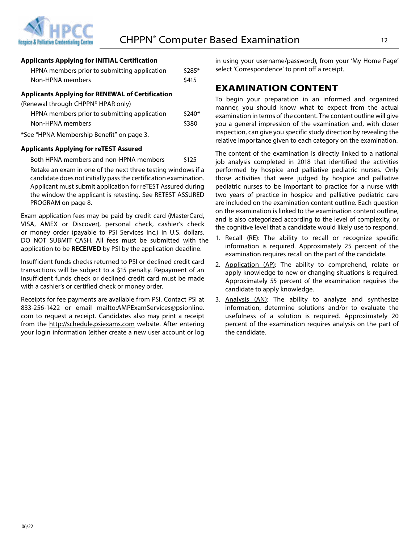<span id="page-15-0"></span>

#### **Applicants Applying for INITIAL Certification**

| <b>Applicants Applying for RENEWAL of Certification</b> |         |  |
|---------------------------------------------------------|---------|--|
| Non-HPNA members                                        | \$415   |  |
| HPNA members prior to submitting application            | $$285*$ |  |

(Renewal through CHPPN® HPAR only)

|                  | HPNA members prior to submitting application | $$240*$ |
|------------------|----------------------------------------------|---------|
| Non-HPNA members |                                              | \$380   |
|                  |                                              |         |

\*See "HPNA Membership Benefit" on page 3.

#### **Applicants Applying for reTEST Assured**

Both HPNA members and non-HPNA members \$125

Retake an exam in one of the next three testing windows if a candidate does not initially pass the certification examination. Applicant must submit application for reTEST Assured during the window the applicant is retesting. See RETEST ASSURED PROGRAM on page 8.

Exam application fees may be paid by credit card (MasterCard, VISA, AMEX or Discover), personal check, cashier's check or money order (payable to PSI Services Inc.) in U.S. dollars. DO NOT SUBMIT CASH. All fees must be submitted with the application to be **RECEIVED** by PSI by the application deadline.

Insufficient funds checks returned to PSI or declined credit card transactions will be subject to a \$15 penalty. Repayment of an insufficient funds check or declined credit card must be made with a cashier's or certified check or money order.

Receipts for fee payments are available from PSI. Contact PSI at 833-256-1422 or email mailto:AMPExamServices@psionline. com to request a receipt. Candidates also may print a receipt from the <http://schedule.psiexams.com> website. After entering your login information (either create a new user account or log

in using your username/password), from your 'My Home Page' select 'Correspondence' to print off a receipt.

#### **EXAMINATION CONTENT**

To begin your preparation in an informed and organized manner, you should know what to expect from the actual examination in terms of the content. The content outline will give you a general impression of the examination and, with closer inspection, can give you specific study direction by revealing the relative importance given to each category on the examination.

The content of the examination is directly linked to a national job analysis completed in 2018 that identified the activities performed by hospice and palliative pediatric nurses. Only those activities that were judged by hospice and palliative pediatric nurses to be important to practice for a nurse with two years of practice in hospice and palliative pediatric care are included on the examination content outline. Each question on the examination is linked to the examination content outline, and is also categorized according to the level of complexity, or the cognitive level that a candidate would likely use to respond.

- 1. Recall (RE): The ability to recall or recognize specific information is required. Approximately 25 percent of the examination requires recall on the part of the candidate.
- 2. Application (AP): The ability to comprehend, relate or apply knowledge to new or changing situations is required. Approximately 55 percent of the examination requires the candidate to apply knowledge.
- 3. Analysis (AN): The ability to analyze and synthesize information, determine solutions and/or to evaluate the usefulness of a solution is required. Approximately 20 percent of the examination requires analysis on the part of the candidate.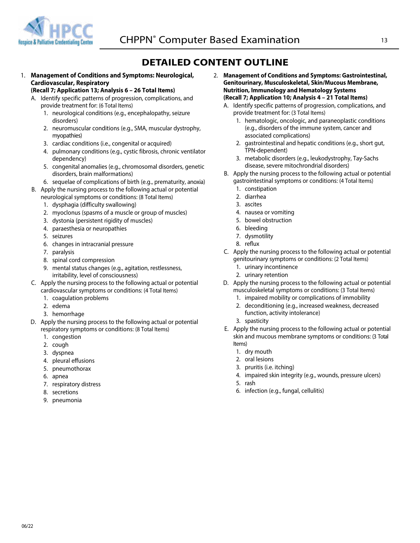<span id="page-16-0"></span>

#### **DETAILED CONTENT OUTLINE**

#### 1. **Management of Conditions and Symptoms: Neurological, Cardiovascular, Respiratory**

#### **(Recall 7; Application 13; Analysis 6 – 26 Total Items)**

- A. Identify specific patterns of progression, complications, and provide treatment for: (6 Total Items)
	- 1. neurological conditions (e.g., encephalopathy, seizure disorders)
	- 2. neuromuscular conditions (e.g., SMA, muscular dystrophy, myopathies)
	- 3. cardiac conditions (i.e., congenital or acquired)
	- 4. pulmonary conditions (e.g., cystic fibrosis, chronic ventilator dependency)
	- 5. congenital anomalies (e.g., chromosomal disorders, genetic disorders, brain malformations)
	- 6. sequelae of complications of birth (e.g., prematurity, anoxia)
- B. Apply the nursing process to the following actual or potential neurological symptoms or conditions: (8 Total Items)
	- 1. dysphagia (difficulty swallowing)
	- 2. myoclonus (spasms of a muscle or group of muscles)
	- 3. dystonia (persistent rigidity of muscles)
	- 4. paraesthesia or neuropathies
	- 5. seizures
	- 6. changes in intracranial pressure
	- 7. paralysis
	- 8. spinal cord compression
	- 9. mental status changes (e.g., agitation, restlessness, irritability, level of consciousness)
- C. Apply the nursing process to the following actual or potential cardiovascular symptoms or conditions: (4 Total Items)
	- 1. coagulation problems
	- 2. edema
	- 3. hemorrhage
- D. Apply the nursing process to the following actual or potential respiratory symptoms or conditions: (8 Total Items)
	- 1. congestion
	- 2. cough
	- 3. dyspnea
	- 4. pleural effusions
	- 5. pneumothorax
	- 6. apnea
	- 7. respiratory distress
	- 8. secretions
	- 9. pneumonia
- 2. **Management of Conditions and Symptoms: Gastrointestinal, Genitourinary, Musculoskeletal, Skin/Mucous Membrane, Nutrition, Immunology and Hematology Systems (Recall 7; Application 10; Analysis 4 – 21 Total Items)**
	- A. Identify specific patterns of progression, complications, and provide treatment for: (3 Total Items)
		- 1. hematologic, oncologic, and paraneoplastic conditions (e.g., disorders of the immune system, cancer and associated complications)
		- 2. gastrointestinal and hepatic conditions (e.g., short gut, TPN-dependent)
		- 3. metabolic disorders (e.g., leukodystrophy, Tay-Sachs disease, severe mitochrondrial disorders)
	- B. Apply the nursing process to the following actual or potential gastrointestinal symptoms or conditions: (4 Total Items)
		- 1. constipation
		- 2. diarrhea
		- 3. ascites
		- 4. nausea or vomiting
		- 5. bowel obstruction
		- 6. bleeding
		- 7. dysmotility
		- 8. reflux
	- C. Apply the nursing process to the following actual or potential genitourinary symptoms or conditions: (2 Total Items)
		- 1. urinary incontinence
		- 2. urinary retention
	- D. Apply the nursing process to the following actual or potential musculoskeletal symptoms or conditions: (3 Total Items)
		- 1. impaired mobility or complications of immobility
		- 2. deconditioning (e.g., increased weakness, decreased function, activity intolerance)
		- 3. spasticity
	- E. Apply the nursing process to the following actual or potential skin and mucous membrane symptoms or conditions: (3 Total Items)
		- 1. dry mouth
		- 2. oral lesions
		- 3. pruritis (i.e. itching)
		- 4. impaired skin integrity (e.g., wounds, pressure ulcers)
		- 5. rash
		- 6. infection (e.g., fungal, cellulitis)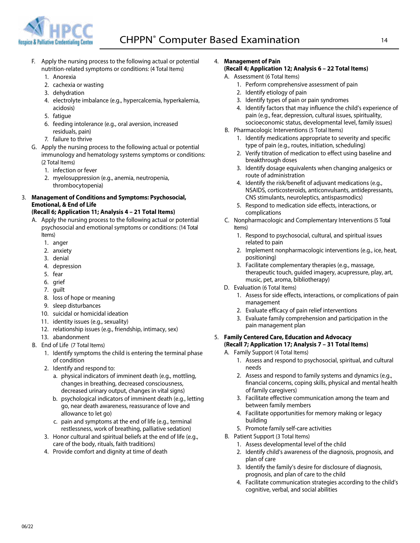

- F. Apply the nursing process to the following actual or potential nutrition-related symptoms or conditions: (4 Total Items)
	- 1. Anorexia
	- 2. cachexia or wasting
	- 3. dehydration
	- 4. electrolyte imbalance (e.g., hypercalcemia, hyperkalemia, acidosis)
	- 5. fatigue
	- 6. feeding intolerance (e.g., oral aversion, increased residuals, pain)
	- 7. failure to thrive
- G. Apply the nursing process to the following actual or potential immunology and hematology systems symptoms or conditions: (2 Total Items)
	- 1. infection or fever
	- 2. myelosuppression (e.g., anemia, neutropenia, thrombocytopenia)
- 3. **Management of Conditions and Symptoms: Psychosocial, Emotional, & End of Life**

#### **(Recall 6; Application 11; Analysis 4 – 21 Total Items)**

- A. Apply the nursing process to the following actual or potential psychosocial and emotional symptoms or conditions: (14 Total Items)
	- 1. anger
	- 2. anxiety
	- 3. denial
	- 4. depression
	- 5. fear
	- 6. grief
	- 7. guilt
	- 8. loss of hope or meaning
	- 9. sleep disturbances
	- 10. suicidal or homicidal ideation
	- 11. identity issues (e.g., sexuality)
	- 12. relationship issues (e.g., friendship, intimacy, sex)
	- 13. abandonment
- B. End of Life (7 Total Items)
	- 1. Identify symptoms the child is entering the terminal phase of condition
	- 2. Identify and respond to:
		- a. physical indicators of imminent death (e.g., mottling, changes in breathing, decreased consciousness, decreased urinary output, changes in vital signs)
		- b. psychological indicators of imminent death (e.g., letting go, near death awareness, reassurance of love and allowance to let go)
		- c. pain and symptoms at the end of life (e.g., terminal restlessness, work of breathing, palliative sedation)
	- 3. Honor cultural and spiritual beliefs at the end of life (e.g., care of the body, rituals, faith traditions)
	- 4. Provide comfort and dignity at time of death

#### 4. **Management of Pain**

#### **(Recall 4; Application 12; Analysis 6 – 22 Total Items)**

- A. Assessment (6 Total Items)
	- 1. Perform comprehensive assessment of pain
	- 2. Identify etiology of pain
	- 3. Identify types of pain or pain syndromes
	- 4. Identify factors that may influence the child's experience of pain (e.g., fear, depression, cultural issues, spirituality, socioeconomic status, developmental level, family issues)
- B. Pharmacologic Interventions (5 Total Items)
	- 1. Identify medications appropriate to severity and specific type of pain (e.g., routes, initiation, scheduling)
	- 2. Verify titration of medication to effect using baseline and breakthrough doses
	- 3. Identify dosage equivalents when changing analgesics or route of administration
	- 4. Identify the risk/benefit of adjuvant medications (e.g., NSAIDS, corticosteroids, anticonvulsants, antidepressants, CNS stimulants, neuroleptics, antispasmodics)
	- 5. Respond to medication side effects, interactions, or complications
- C. Nonpharmacologic and Complementary Interventions (5 Total Items)
	- 1. Respond to psychosocial, cultural, and spiritual issues related to pain
	- 2. Implement nonpharmacologic interventions (e.g., ice, heat, positioning)
	- 3. Facilitate complementary therapies (e.g., massage, therapeutic touch, guided imagery, acupressure, play, art, music, pet, aroma, bibliotherapy)
- D. Evaluation (6 Total Items)
	- 1. Assess for side effects, interactions, or complications of pain management
	- 2. Evaluate efficacy of pain relief interventions
	- 3. Evaluate family comprehension and participation in the pain management plan

#### 5. **Family Centered Care, Education and Advocacy (Recall 7; Application 17; Analysis 7 – 31 Total Items)**

- A. Family Support (4 Total Items)
	- 1. Assess and respond to psychosocial, spiritual, and cultural needs
	- 2. Assess and respond to family systems and dynamics (e.g., financial concerns, coping skills, physical and mental health of family caregivers)
	- 3. Facilitate effective communication among the team and between family members
	- 4. Facilitate opportunities for memory making or legacy building
	- 5. Promote family self-care activities
- B. Patient Support (3 Total Items)
	- 1. Assess developmental level of the child
	- 2. Identify child's awareness of the diagnosis, prognosis, and plan of care
	- 3. Identify the family's desire for disclosure of diagnosis, prognosis, and plan of care to the child
	- 4. Facilitate communication strategies according to the child's cognitive, verbal, and social abilities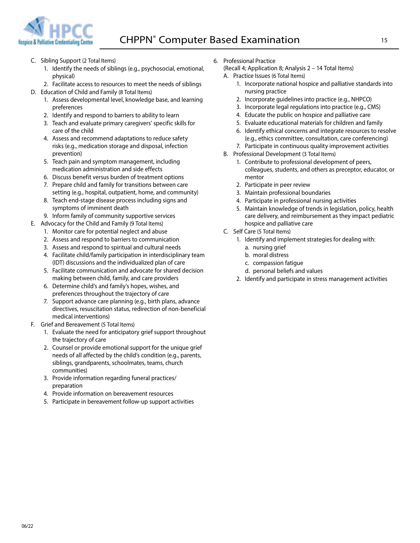

- C. Sibling Support (2 Total Items)
	- 1. Identify the needs of siblings (e.g., psychosocial, emotional, physical)
	- 2. Facilitate access to resources to meet the needs of siblings
- D. Education of Child and Family (8 Total Items)
	- 1. Assess developmental level, knowledge base, and learning preferences
	- 2. Identify and respond to barriers to ability to learn
	- 3. Teach and evaluate primary caregivers' specific skills for care of the child
	- 4. Assess and recommend adaptations to reduce safety risks (e.g., medication storage and disposal, infection prevention)
	- 5. Teach pain and symptom management, including medication administration and side effects
	- 6. Discuss benefit versus burden of treatment options
	- 7. Prepare child and family for transitions between care setting (e.g., hospital, outpatient, home, and community)
	- 8. Teach end-stage disease process including signs and symptoms of imminent death
	- 9. Inform family of community supportive services
- E. Advocacy for the Child and Family (9 Total Items)
	- 1. Monitor care for potential neglect and abuse
	- 2. Assess and respond to barriers to communication
	- 3. Assess and respond to spiritual and cultural needs
	- 4. Facilitate child/family participation in interdisciplinary team (IDT) discussions and the individualized plan of care
	- 5. Facilitate communication and advocate for shared decision making between child, family, and care providers
	- 6. Determine child's and family's hopes, wishes, and preferences throughout the trajectory of care
	- 7. Support advance care planning (e.g., birth plans, advance directives, resuscitation status, redirection of non-beneficial medical interventions)
- F. Grief and Bereavement (5 Total Items)
	- 1. Evaluate the need for anticipatory grief support throughout the trajectory of care
	- 2. Counsel or provide emotional support for the unique grief needs of all affected by the child's condition (e.g., parents, siblings, grandparents, schoolmates, teams, church communities)
	- 3. Provide information regarding funeral practices/ preparation
	- 4. Provide information on bereavement resources
	- 5. Participate in bereavement follow-up support activities
- 6. Professional Practice
	- (Recall 4; Application 8; Analysis 2 14 Total Items)
	- A. Practice Issues (6 Total Items)
		- 1. Incorporate national hospice and palliative standards into nursing practice
		- 2. Incorporate guidelines into practice (e.g., NHPCO)
		- 3. Incorporate legal regulations into practice (e.g., CMS)
		- 4. Educate the public on hospice and palliative care
		- 5. Evaluate educational materials for children and family
		- 6. Identify ethical concerns and integrate resources to resolve (e.g., ethics committee, consultation, care conferencing)
		- 7. Participate in continuous quality improvement activities
	- B. Professional Development (3 Total Items)
		- 1. Contribute to professional development of peers, colleagues, students, and others as preceptor, educator, or mentor
		- 2. Participate in peer review
		- 3. Maintain professional boundaries
		- 4. Participate in professional nursing activities
		- 5. Maintain knowledge of trends in legislation, policy, health care delivery, and reimbursement as they impact pediatric hospice and palliative care
	- C. Self Care (5 Total Items)
		- 1. Identify and implement strategies for dealing with:
			- a. nursing grief
			- b. moral distress
			- c. compassion fatigue
			- d. personal beliefs and values
		- 2. Identify and participate in stress management activities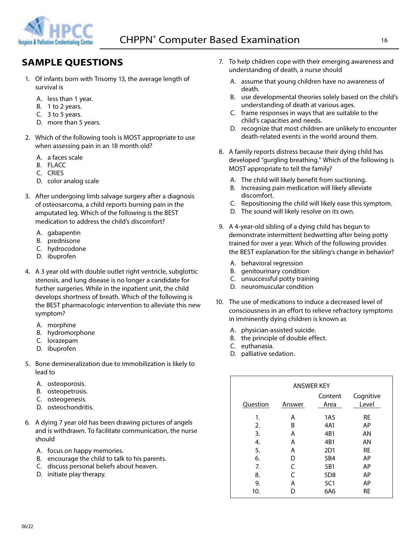<span id="page-19-0"></span>

# **SAMPLE QUESTIONS**

- 1. Of infants born with Trisomy 13, the average length of survival is
	- A. less than 1 year.
	- B. 1 to 2 years.
	- C. 3 to 5 years.
	- D. more than 5 years.
- 2. Which of the following tools is MOST appropriate to use when assessing pain in an 18 month old?
	- A. a faces scale
	- B. FLACC
	- C. CRIES
	- D. color analog scale
- 3. After undergoing limb salvage surgery after a diagnosis of osteosarcoma, a child reports burning pain in the amputated leg. Which of the following is the BEST medication to address the child's discomfort?
	- A. gabapentin
	- B. prednisone
	- C. hydrocodone
	- D. ibuprofen
- 4. A 3 year old with double outlet right ventricle, subglottic stenosis, and lung disease is no longer a candidate for further surgeries. While in the inpatient unit, the child develops shortness of breath. Which of the following is the BEST pharmacologic intervention to alleviate this new symptom?
	- A. morphine
	- B. hydromorphone
	- C. lorazepam
	- D. ibuprofen
- 5. Bone demineralization due to immobilization is likely to lead to
	- A. osteoporosis.
	- B. osteopetrosis.
	- C. osteogenesis.
	- D. osteochondritis.
- 6. A dying 7 year old has been drawing pictures of angels and is withdrawn. To facilitate communication, the nurse should
	- A. focus on happy memories.
	- B. encourage the child to talk to his parents.
	- C. discuss personal beliefs about heaven.
	- D. initiate play therapy.
- 7. To help children cope with their emerging awareness and understanding of death, a nurse should
	- A. assume that young children have no awareness of death.
	- B. use developmental theories solely based on the child's understanding of death at various ages.
	- C. frame responses in ways that are suitable to the child's capacities and needs.
	- D. recognize that most children are unlikely to encounter death-related events in the world around them.
- 8. A family reports distress because their dying child has developed "gurgling breathing." Which of the following is MOST appropriate to tell the family?
	- A. The child will likely benefit from suctioning.
	- B. Increasing pain medication will likely alleviate discomfort.
	- C. Repositioning the child will likely ease this symptom.
	- D. The sound will likely resolve on its own.
- 9. A 4-year-old sibling of a dying child has begun to demonstrate intermittent bedwetting after being potty trained for over a year. Which of the following provides the BEST explanation for the sibling's change in behavior?
	- A. behavioral regression
	- B. genitourinary condition
	- C. unsuccessful potty training
	- D. neuromuscular condition
- 10. The use of medications to induce a decreased level of consciousness in an effort to relieve refractory symptoms in imminently dying children is known as
	- A. physician-assisted suicide.
	- B. the principle of double effect.
	- C. euthanasia.
	- D. palliative sedation.

| <b>ANSWER KEY</b> |        |                  |                    |  |  |
|-------------------|--------|------------------|--------------------|--|--|
| Question          | Answer | Content<br>Area  | Cognitive<br>Level |  |  |
| 1.                | A      | 1A5              | RE                 |  |  |
| 2.                | В      | 4A1              | AP                 |  |  |
| 3.                | A      | 4B1              | ΑN                 |  |  |
| 4.                | A      | 4B1              | AN                 |  |  |
| 5.                | А      | 2D1              | <b>RE</b>          |  |  |
| 6.                | D      | 5B4              | AP                 |  |  |
| 7.                | C      | 5B1              | АP                 |  |  |
| 8.                | C      | 5 <sub>D</sub> 8 | AP                 |  |  |
| 9.                | A      | 5C1              | АP                 |  |  |
| 10.               |        | 6A6              | RE                 |  |  |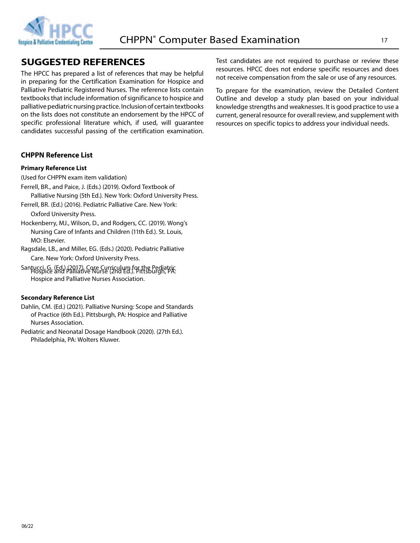<span id="page-20-0"></span>

#### **SUGGESTED REFERENCES**

The HPCC has prepared a list of references that may be helpful in preparing for the Certification Examination for Hospice and Palliative Pediatric Registered Nurses. The reference lists contain textbooks that include information of significance to hospice and palliative pediatric nursing practice. Inclusion of certain textbooks on the lists does not constitute an endorsement by the HPCC of specific professional literature which, if used, will guarantee candidates successful passing of the certification examination.

#### **CHPPN Reference List**

#### **Primary Reference List**

(Used for CHPPN exam item validation)

- Ferrell, BR., and Paice, J. (Eds.) (2019). Oxford Textbook of Palliative Nursing (5th Ed.). New York: Oxford University Press.
- Ferrell, BR. (Ed.) (2016). Pediatric Palliative Care. New York: Oxford University Press.
- Hockenberry, MJ., Wilson, D., and Rodgers, CC. (2019). Wong's Nursing Care of Infants and Children (11th Ed.). St. Louis, MO: Elsevier.
- Ragsdale, LB., and Miller, EG. (Eds.) (2020). Pediatric Palliative Care. New York: Oxford University Press.
- Santucci, G. (Ed.) (2017). Core Curriculum for the Pediatric<br>Hospice and Palliative Nurse (2nd Ed.). Pittsburgh, PA: Hospice and Palliative Nurses Association.

#### **Secondary Reference List**

Dahlin, CM. (Ed.) (2021). Palliative Nursing: Scope and Standards of Practice (6th Ed.). Pittsburgh, PA: Hospice and Palliative Nurses Association.

Pediatric and Neonatal Dosage Handbook (2020). (27th Ed.). Philadelphia, PA: Wolters Kluwer.

Test candidates are not required to purchase or review these resources. HPCC does not endorse specific resources and does not receive compensation from the sale or use of any resources.

To prepare for the examination, review the Detailed Content Outline and develop a study plan based on your individual knowledge strengths and weaknesses. It is good practice to use a current, general resource for overall review, and supplement with resources on specific topics to address your individual needs.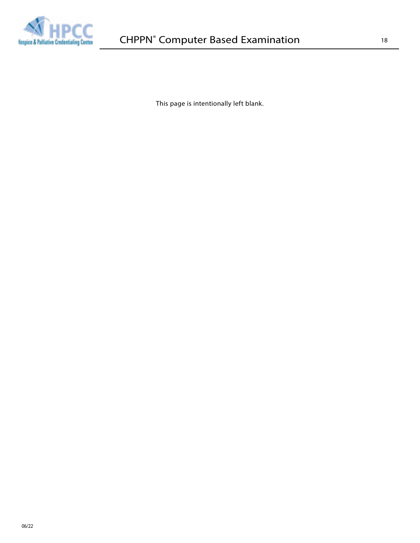

This page is intentionally left blank.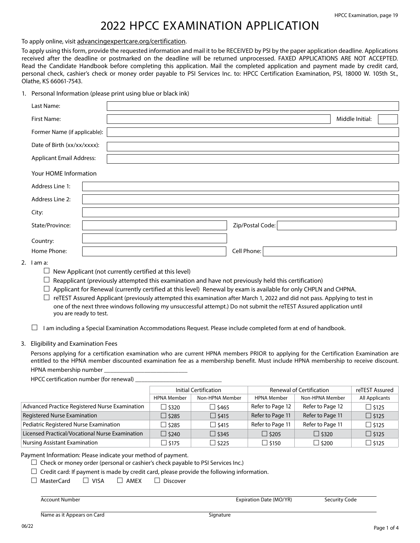# 2022 HPCC EXAMINATION APPLICATION

<span id="page-22-0"></span>To apply online, visit [advancingexpertcare.org/certification.](http://advancingexpertcare.org/certification)

To apply using this form, provide the requested information and mail it to be RECEIVED by PSI by the paper application deadline. Applications received after the deadline or postmarked on the deadline will be returned unprocessed. FAXED APPLICATIONS ARE NOT ACCEPTED. Read the Candidate Handbook before completing this application. Mail the completed application and payment made by credit card, personal check, cashier's check or money order payable to PSI Services Inc. to: HPCC Certification Examination, PSI, 18000 W. 105th St., Olathe, KS 66061-7543.

1. Personal Information (please print using blue or black ink)

| Last Name:                      |                  |                 |
|---------------------------------|------------------|-----------------|
| First Name:                     |                  | Middle Initial: |
| Former Name (if applicable):    |                  |                 |
| Date of Birth (xx/xx/xxxx):     |                  |                 |
| <b>Applicant Email Address:</b> |                  |                 |
| Your HOME Information           |                  |                 |
| Address Line 1:                 |                  |                 |
| Address Line 2:                 |                  |                 |
| City:                           |                  |                 |
| State/Province:                 | Zip/Postal Code: |                 |
| Country:                        |                  |                 |
| Home Phone:                     | Cell Phone:      |                 |

2. I am a:

- $\Box$  New Applicant (not currently certified at this level)
- $\Box$  Reapplicant (previously attempted this examination and have not previously held this certification)
- $\Box$  Applicant for Renewal (currently certified at this level) Renewal by exam is available for only CHPLN and CHPNA.
- $\Box$  reTEST Assured Applicant (previously attempted this examination after March 1, 2022 and did not pass. Applying to test in one of the next three windows following my unsuccessful attempt.) Do not submit the reTEST Assured application until you are ready to test.
- $\Box$  I am including a Special Examination Accommodations Request. Please include completed form at end of handbook.

#### 3. Eligibility and Examination Fees

Persons applying for a certification examination who are current HPNA members PRIOR to applying for the Certification Examination are entitled to the HPNA member discounted examination fee as a membership benefit. Must include HPNA membership to receive discount. HPNA membership number \_\_\_\_\_\_\_\_\_\_\_\_\_\_\_\_\_\_\_\_\_\_\_\_\_\_\_

HPCC certification number (for renewal)

|                                                 | Initial Certification |                 | <b>Renewal of Certification</b> |                  | reTEST Assured |
|-------------------------------------------------|-----------------------|-----------------|---------------------------------|------------------|----------------|
|                                                 | <b>HPNA Member</b>    | Non-HPNA Member | <b>HPNA Member</b>              | Non-HPNA Member  | All Applicants |
| Advanced Practice Registered Nurse Examination  | $\Box$ \$320          | □ \$465         | Refer to Page 12                | Refer to Page 12 | $\Box$ \$125   |
| Registered Nurse Examination                    | $\Box$ \$285          | $\Box$ \$415    | Refer to Page 11                | Refer to Page 11 | $\Box$ \$125   |
| Pediatric Registered Nurse Examination          | $\Box$ \$285          | □ \$415         | Refer to Page 11                | Refer to Page 11 | $\Box$ \$125   |
| Licensed Practical/Vocational Nurse Examination | $\Box$ \$240          | $\Box$ \$345    | $\Box$ \$205                    | $\Box$ \$320     | $\Box$ \$125   |
| Nursing Assistant Examination                   | $\square$ \$175       | $\Box$ \$225    | $\Box$ \$150                    | $\Box$ \$200     | $\Box$ \$125   |

Payment Information: Please indicate your method of payment.

 $\Box$  Check or money order (personal or cashier's check payable to PSI Services Inc.)

 $\Box$  Credit card: If payment is made by credit card, please provide the following information.

 $\Box$  MasterCard  $\Box$  VISA  $\Box$  AMEX  $\Box$  Discover

Account Number **Expiration Date (MO/YR)** Security Code

Name as it Appears on Card Signature as it Appears on Card Signature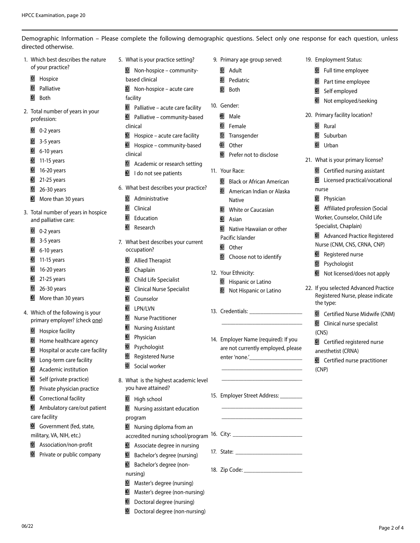| 1. Which best describes the nature                          | 5. What is your practice setting?                           | 9. Primary age group served:                     | 19. Employment Status:                                                      |
|-------------------------------------------------------------|-------------------------------------------------------------|--------------------------------------------------|-----------------------------------------------------------------------------|
| of your practice?                                           | Non-hospice - community-                                    | Adult<br>$\mathbf{1}$                            | Full time employee<br>$\mathbf{1}$                                          |
| Hospice<br>$\mathbf{1}$                                     | based clinical                                              | $\overline{2}$<br>Pediatric                      | Part time employee<br>$\overline{2}$                                        |
| Palliative<br>2                                             | Non-hospice - acute care<br>$\overline{2}$                  | 3<br>Both                                        | Self employed<br>3                                                          |
| 3<br><b>Both</b>                                            | facility                                                    |                                                  | Not employed/seeking<br>4                                                   |
|                                                             | Palliative - acute care facility<br>3                       | 10. Gender:                                      |                                                                             |
| 2. Total number of years in your<br>profession:             | Palliative - community-based<br>4                           | Male<br>M                                        | 20. Primary facility location?                                              |
|                                                             | clinical                                                    | F<br>Female                                      | Rural<br>$\mathbf{1}$                                                       |
| 0-2 years<br>$\mathbf{1}$                                   | Hospice - acute care facility<br>5                          | Transgender<br>T                                 | Suburban<br>2                                                               |
| 3-5 years<br>2                                              | Hospice - community-based<br>6                              | 0<br>Other                                       | Urban<br>3                                                                  |
| 6-10 years<br>3                                             | clinical                                                    | Prefer not to disclose<br>N                      |                                                                             |
| 11-15 years<br>4                                            | Academic or research setting<br>7                           |                                                  | 21. What is your primary license?                                           |
| 16-20 years<br>5                                            | I do not see patients<br>8                                  | 11. Your Race:                                   | Certified nursing assistant<br>$\mathbf{1}$                                 |
| 21-25 years<br>6                                            |                                                             | <b>Black or African American</b><br>$\mathbf{1}$ | Licensed practical/vocational<br>$\overline{2}$                             |
| 26-30 years<br>7                                            | 6. What best describes your practice?                       | American Indian or Alaska<br>$\overline{2}$      | nurse                                                                       |
| More than 30 years<br>8                                     | Administrative                                              | <b>Native</b>                                    | Physician<br>3                                                              |
|                                                             | Clinical<br>2                                               | <b>White or Caucasian</b><br>3                   | Affiliated profession (Social<br>4                                          |
| 3. Total number of years in hospice<br>and palliative care: | Education<br>3                                              | 4<br>Asian                                       | Worker, Counselor, Child Life                                               |
|                                                             | Research<br>4                                               | Native Hawaiian or other<br>5                    | Specialist, Chaplain)                                                       |
| 0-2 years<br>1                                              |                                                             | Pacific Islander                                 | <b>Advanced Practice Registered</b><br>5                                    |
| 3-5 years<br>2                                              | 7. What best describes your current                         | Other<br>6                                       | Nurse (CNM, CNS, CRNA, CNP)                                                 |
| 6-10 years<br>3                                             | occupation?                                                 | 7<br>Choose not to identify                      | Registered nurse<br>6                                                       |
| 4<br>$11-15$ years                                          | <b>Allied Therapist</b><br>$\mathbf{1}$                     |                                                  | Psychologist<br>7                                                           |
| 16-20 years<br>5                                            | Chaplain<br>$\overline{2}$                                  | 12. Your Ethnicity:                              | Not licensed/does not apply<br>8                                            |
| 21-25 years<br>6                                            | Child Life Specialist<br>3                                  | Hispanic or Latino<br>-1                         |                                                                             |
| 26-30 years<br>7                                            | <b>Clinical Nurse Specialist</b><br>4                       | Not Hispanic or Latino<br>2                      | 22. If you selected Advanced Practice                                       |
| More than 30 years<br>8                                     | Counselor<br>5                                              |                                                  | Registered Nurse, please indicate<br>the type:                              |
| 4. Which of the following is your                           | LPN/LVN<br>6                                                |                                                  | $\mathbf{1}$                                                                |
| primary employer? (check one)                               | <b>Nurse Practitioner</b><br>7                              |                                                  | Certified Nurse Midwife (CNM)                                               |
| Hospice facility<br>1                                       | <b>Nursing Assistant</b><br>8                               |                                                  | Clinical nurse specialist<br>$\overline{2}$<br>(CNS)                        |
| Home healthcare agency<br>2                                 | Physician<br>9                                              | 14. Employer Name (required): If you             |                                                                             |
| Hospital or acute care facility<br>3                        | Psychologist<br>10                                          | are not currently employed, please               | Certified registered nurse<br>$\overline{\mathbf{3}}$<br>anesthetist (CRNA) |
| Long-term care facility                                     | <b>Registered Nurse</b><br>11                               | enter 'none.'                                    |                                                                             |
| Academic institution<br>5                                   | Social worker<br>12                                         |                                                  | Certified nurse practitioner<br>(CNP)                                       |
| 6                                                           |                                                             |                                                  |                                                                             |
| Self (private practice)<br>7                                | 8. What is the highest academic level<br>you have attained? |                                                  |                                                                             |
| Private physician practice<br>8                             |                                                             | 15. Employer Street Address: ________            |                                                                             |
| Correctional facility                                       | High school                                                 |                                                  |                                                                             |
| Ambulatory care/out patient<br>9                            | Nursing assistant education<br>2                            |                                                  |                                                                             |
| care facility                                               | program                                                     |                                                  |                                                                             |
| Government (fed, state,<br>10                               | Nursing diploma from an<br>3                                |                                                  |                                                                             |
| military, VA, NIH, etc.)                                    | accredited nursing school/program                           |                                                  |                                                                             |
| Association/non-profit<br>11                                | Associate degree in nursing<br>4                            |                                                  |                                                                             |
| Private or public company<br>12                             | Bachelor's degree (nursing)<br>5                            |                                                  |                                                                             |
|                                                             | Bachelor's degree (non-<br>6                                |                                                  |                                                                             |
|                                                             | nursing)                                                    |                                                  |                                                                             |
|                                                             | Master's degree (nursing)<br>7                              |                                                  |                                                                             |
|                                                             | Master's degree (non-nursing)<br>8                          |                                                  |                                                                             |
|                                                             | Doctoral degree (nursing)<br>9                              |                                                  |                                                                             |

10 Doctoral degree (non-nursing)

Demographic Information – Please complete the following demographic questions. Select only one response for each question, unless directed otherwise.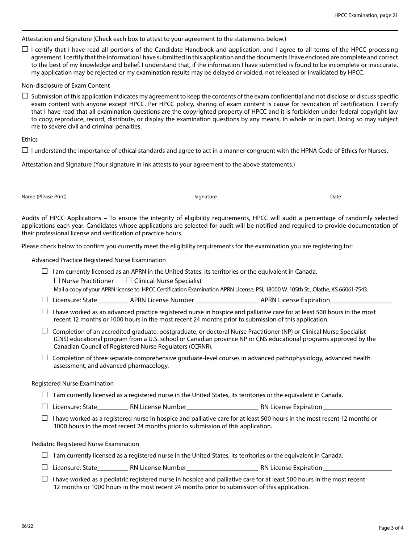Attestation and Signature (Check each box to attest to your agreement to the statements below.)

 $\Box$  I certify that I have read all portions of the Candidate Handbook and application, and I agree to all terms of the HPCC processing agreement. I certify that the information I have submitted in this application and the documents I have enclosed are complete and correct to the best of my knowledge and belief. I understand that, if the information I have submitted is found to be incomplete or inaccurate, my application may be rejected or my examination results may be delayed or voided, not released or invalidated by HPCC.

Non-disclosure of Exam Content

 $\Box$  Submission of this application indicates my agreement to keep the contents of the exam confidential and not disclose or discuss specific exam content with anyone except HPCC. Per HPCC policy, sharing of exam content is cause for revocation of certification. I certify that I have read that all examination questions are the copyrighted property of HPCC and it is forbidden under federal copyright law to copy, reproduce, record, distribute, or display the examination questions by any means, in whole or in part. Doing so may subject me to severe civil and criminal penalties.

Ethics

 $\Box$  I understand the importance of ethical standards and agree to act in a manner congruent with the HPNA Code of Ethics for Nurses.

Attestation and Signature (Your signature in ink attests to your agreement to the above statements.)

Name (Please Print) **Signature** Signature **Calculation** Category **Calculation** Category **Category Category Category Category Category <b>Category** Category **Category** Category **Category** Category **Category** Category **Categor** 

Audits of HPCC Applications – To ensure the integrity of eligibility requirements, HPCC will audit a percentage of randomly selected applications each year. Candidates whose applications are selected for audit will be notified and required to provide documentation of their professional license and verification of practice hours.

Please check below to confirm you currently meet the eligibility requirements for the examination you are registering for:

Advanced Practice Registered Nurse Examination

- $\Box$  I am currently licensed as an APRN in the United States, its territories or the equivalent in Canada.  $\Box$  Nurse Practitioner  $\Box$  Clinical Nurse Specialist Mail a copy of your APRN license to: HPCC Certification Examination APRN License, PSI, 18000 W. 105th St., Olathe, KS 66061-7543.
- □ Licensure: State\_\_\_\_\_\_\_\_\_\_\_ APRN License Number \_\_\_\_\_\_\_\_\_\_\_\_\_\_\_\_\_\_\_\_\_\_\_\_\_\_ APRN License Expiration\_
- $\Box$  I have worked as an advanced practice registered nurse in hospice and palliative care for at least 500 hours in the most recent 12 months or 1000 hours in the most recent 24 months prior to submission of this application.
- $\Box$  Completion of an accredited graduate, postgraduate, or doctoral Nurse Practitioner (NP) or Clinical Nurse Specialist (CNS) educational program from a U.S. school or Canadian province NP or CNS educational programs approved by the Canadian Council of Registered Nurse Regulators (CCRNR).
- $\Box$  Completion of three separate comprehensive graduate-level courses in advanced pathophysiology, advanced health assessment, and advanced pharmacology.

#### Registered Nurse Examination

- $\Box$  I am currently licensed as a registered nurse in the United States, its territories or the equivalent in Canada.
- $\Box$  Licensure: State  $\Box$  RN License Number  $\Box$  RN License Expiration  $\Box$
- $\Box$  I have worked as a registered nurse in hospice and palliative care for at least 500 hours in the most recent 12 months or 1000 hours in the most recent 24 months prior to submission of this application.

Pediatric Registered Nurse Examination

 $\Box$  I am currently licensed as a registered nurse in the United States, its territories or the equivalent in Canada.

- Licensure: State\_\_\_\_\_\_\_\_\_ RN License Number\_\_\_\_\_\_\_\_\_\_\_\_\_\_\_\_\_\_\_\_\_ RN License Expiration \_\_\_\_\_\_\_\_\_\_\_\_\_\_\_\_\_\_\_\_
- $\Box$  I have worked as a pediatric registered nurse in hospice and palliative care for at least 500 hours in the most recent 12 months or 1000 hours in the most recent 24 months prior to submission of this application.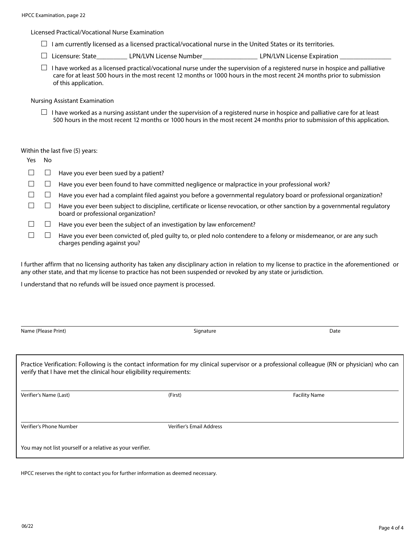Licensed Practical/Vocational Nurse Examination

- $\Box$  I am currently licensed as a licensed practical/vocational nurse in the United States or its territories.
- □ Licensure: State\_\_\_\_\_\_\_\_\_\_\_ LPN/LVN License Number\_\_\_\_\_\_\_\_\_\_\_\_\_\_\_\_\_\_\_\_\_\_\_\_\_\_LPN/LVN License Expiration \_
- $\Box$  I have worked as a licensed practical/vocational nurse under the supervision of a registered nurse in hospice and palliative care for at least 500 hours in the most recent 12 months or 1000 hours in the most recent 24 months prior to submission of this application.

Nursing Assistant Examination

 $\Box$  I have worked as a nursing assistant under the supervision of a registered nurse in hospice and palliative care for at least 500 hours in the most recent 12 months or 1000 hours in the most recent 24 months prior to submission of this application.

#### Within the last five (5) years:

| Yes. | No. |                                                                                                                                                                    |
|------|-----|--------------------------------------------------------------------------------------------------------------------------------------------------------------------|
|      |     | Have you ever been sued by a patient?                                                                                                                              |
|      |     | Have you ever been found to have committed negligence or malpractice in your professional work?                                                                    |
|      |     | Have you ever had a complaint filed against you before a governmental regulatory board or professional organization?                                               |
|      |     | Have you ever been subject to discipline, certificate or license revocation, or other sanction by a governmental regulatory<br>board or professional organization? |
|      |     | Have you ever been the subject of an investigation by law enforcement?                                                                                             |
|      |     | Have you ever been convicted of, pled guilty to, or pled nolo contendere to a felony or misdemeanor, or are any such<br>charges pending against you?               |

I further affirm that no licensing authority has taken any disciplinary action in relation to my license to practice in the aforementioned or any other state, and that my license to practice has not been suspended or revoked by any state or jurisdiction.

I understand that no refunds will be issued once payment is processed.

| Name (Please Print)                                                                                                                                                                                                | Signature                | Date                 |  |  |  |
|--------------------------------------------------------------------------------------------------------------------------------------------------------------------------------------------------------------------|--------------------------|----------------------|--|--|--|
| Practice Verification: Following is the contact information for my clinical supervisor or a professional colleague (RN or physician) who can<br>verify that I have met the clinical hour eligibility requirements: |                          |                      |  |  |  |
| Verifier's Name (Last)                                                                                                                                                                                             | (First)                  | <b>Facility Name</b> |  |  |  |
| Verifier's Phone Number                                                                                                                                                                                            | Verifier's Email Address |                      |  |  |  |
| You may not list yourself or a relative as your verifier.                                                                                                                                                          |                          |                      |  |  |  |

HPCC reserves the right to contact you for further information as deemed necessary.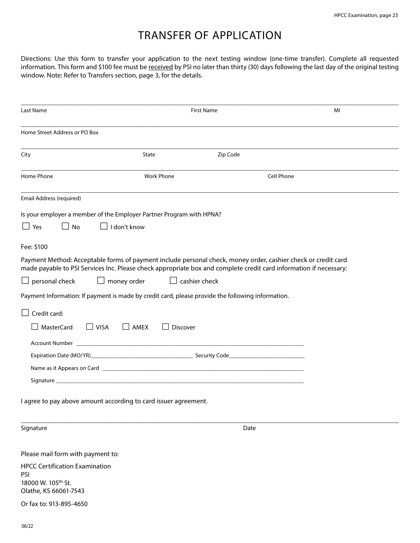# TRANSFER OF APPLICATION

<span id="page-26-0"></span>Directions: Use this form to transfer your application to the next testing window (one-time transfer). Complete all requested information. This form and \$100 fee must be received by PSI no later than thirty (30) days following the last day of the original testing window. Note: Refer to Transfers section, page 3, for the details.

| Last Name                                                                                                                                                                                                                          |                                | <b>First Name</b> | MI         |  |  |
|------------------------------------------------------------------------------------------------------------------------------------------------------------------------------------------------------------------------------------|--------------------------------|-------------------|------------|--|--|
| Home Street Address or PO Box                                                                                                                                                                                                      |                                |                   |            |  |  |
| City                                                                                                                                                                                                                               | State                          | Zip Code          |            |  |  |
| Home Phone                                                                                                                                                                                                                         | <b>Work Phone</b>              |                   | Cell Phone |  |  |
| Email Address (required)                                                                                                                                                                                                           |                                |                   |            |  |  |
| Is your employer a member of the Employer Partner Program with HPNA?<br>I don't know<br>No<br>    Yes<br>$\mathsf{L}$                                                                                                              |                                |                   |            |  |  |
| Fee: \$100                                                                                                                                                                                                                         |                                |                   |            |  |  |
| Payment Method: Acceptable forms of payment include personal check, money order, cashier check or credit card<br>made payable to PSI Services Inc. Please check appropriate box and complete credit card information if necessary: |                                |                   |            |  |  |
| $\Box$ personal check<br>money order                                                                                                                                                                                               | $\Box$ cashier check           |                   |            |  |  |
| Payment Information: If payment is made by credit card, please provide the following information.                                                                                                                                  |                                |                   |            |  |  |
| Credit card:<br>□ MasterCard<br>$\Box$ VISA                                                                                                                                                                                        | $\Box$ AMEX<br>$\Box$ Discover |                   |            |  |  |
| I agree to pay above amount according to card issuer agreement.                                                                                                                                                                    |                                |                   |            |  |  |
| Signature                                                                                                                                                                                                                          |                                | Date              |            |  |  |
| Please mail form with payment to:<br><b>HPCC Certification Examination</b><br><b>PSI</b><br>18000 W. 105th St.<br>Olathe, KS 66061-7543                                                                                            |                                |                   |            |  |  |
| Or fax to: 913-895-4650                                                                                                                                                                                                            |                                |                   |            |  |  |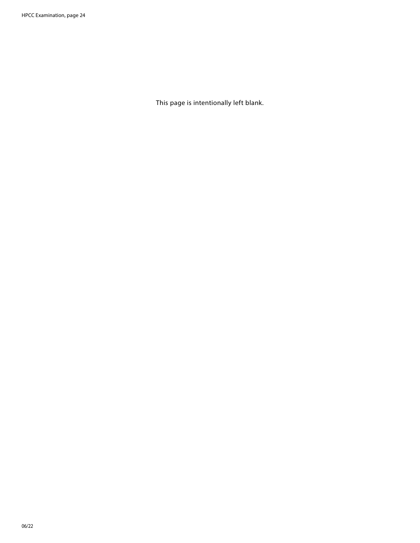This page is intentionally left blank.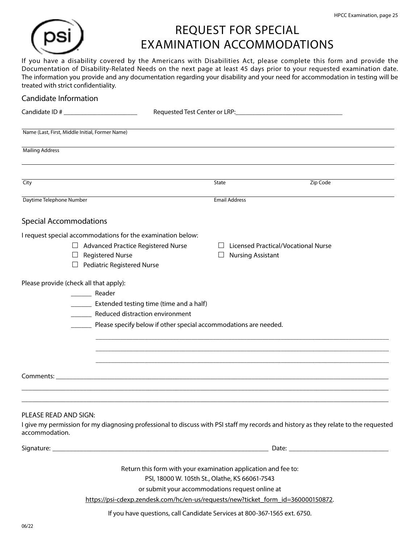<span id="page-28-0"></span>

# REQUEST FOR SPECIAL EXAMINATION ACCOMMODATIONS

If you have a disability covered by the Americans with Disabilities Act, please complete this form and provide the Documentation of Disability-Related Needs on the next page at least 45 days prior to your requested examination date. The information you provide and any documentation regarding your disability and your need for accommodation in testing will be treated with strict confidentiality.

| Candidate Information                                                                                                                                                           |                                                 |                                     |
|---------------------------------------------------------------------------------------------------------------------------------------------------------------------------------|-------------------------------------------------|-------------------------------------|
| Candidate ID # _________________________                                                                                                                                        |                                                 |                                     |
| Name (Last, First, Middle Initial, Former Name)                                                                                                                                 |                                                 |                                     |
| <b>Mailing Address</b>                                                                                                                                                          |                                                 |                                     |
| City                                                                                                                                                                            | State                                           | Zip Code                            |
|                                                                                                                                                                                 |                                                 |                                     |
| Daytime Telephone Number                                                                                                                                                        | <b>Email Address</b>                            |                                     |
| <b>Special Accommodations</b>                                                                                                                                                   |                                                 |                                     |
| I request special accommodations for the examination below:                                                                                                                     |                                                 |                                     |
| Advanced Practice Registered Nurse<br>$\Box$                                                                                                                                    |                                                 | Licensed Practical/Vocational Nurse |
| <b>Registered Nurse</b><br>ш                                                                                                                                                    | <b>Nursing Assistant</b>                        |                                     |
| <b>Pediatric Registered Nurse</b>                                                                                                                                               |                                                 |                                     |
| Please provide (check all that apply):                                                                                                                                          |                                                 |                                     |
| Reader                                                                                                                                                                          |                                                 |                                     |
| <b>Extended testing time (time and a half)</b>                                                                                                                                  |                                                 |                                     |
| Reduced distraction environment                                                                                                                                                 |                                                 |                                     |
| Please specify below if other special accommodations are needed.                                                                                                                |                                                 |                                     |
|                                                                                                                                                                                 |                                                 |                                     |
|                                                                                                                                                                                 |                                                 |                                     |
|                                                                                                                                                                                 |                                                 |                                     |
|                                                                                                                                                                                 |                                                 |                                     |
|                                                                                                                                                                                 |                                                 |                                     |
|                                                                                                                                                                                 |                                                 |                                     |
|                                                                                                                                                                                 |                                                 |                                     |
| PLEASE READ AND SIGN:<br>I give my permission for my diagnosing professional to discuss with PSI staff my records and history as they relate to the requested<br>accommodation. |                                                 |                                     |
|                                                                                                                                                                                 |                                                 |                                     |
|                                                                                                                                                                                 |                                                 |                                     |
| Return this form with your examination application and fee to:                                                                                                                  |                                                 |                                     |
|                                                                                                                                                                                 | PSI, 18000 W. 105th St., Olathe, KS 66061-7543  |                                     |
|                                                                                                                                                                                 | or submit your accommodations request online at |                                     |
| https://psi-cdexp.zendesk.com/hc/en-us/requests/new?ticket_form_id=360000150872.                                                                                                |                                                 |                                     |
| If you have questions, call Candidate Services at 800-367-1565 ext. 6750.                                                                                                       |                                                 |                                     |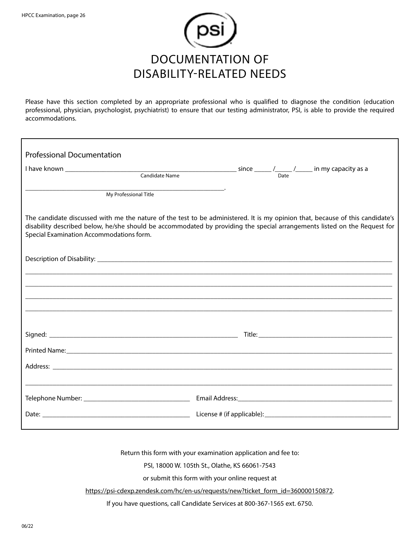

<span id="page-29-0"></span>Please have this section completed by an appropriate professional who is qualified to diagnose the condition (education professional, physician, psychologist, psychiatrist) to ensure that our testing administrator, PSI, is able to provide the required accommodations.

| <b>Professional Documentation</b>                                                                                                                                                                                                                                                                      |                                                                                                                                                                                                                                |  |  |  |  |
|--------------------------------------------------------------------------------------------------------------------------------------------------------------------------------------------------------------------------------------------------------------------------------------------------------|--------------------------------------------------------------------------------------------------------------------------------------------------------------------------------------------------------------------------------|--|--|--|--|
|                                                                                                                                                                                                                                                                                                        |                                                                                                                                                                                                                                |  |  |  |  |
| the contract of the contract of the contract of the contract of the contract of<br>My Professional Title                                                                                                                                                                                               |                                                                                                                                                                                                                                |  |  |  |  |
| The candidate discussed with me the nature of the test to be administered. It is my opinion that, because of this candidate's<br>disability described below, he/she should be accommodated by providing the special arrangements listed on the Request for<br>Special Examination Accommodations form. |                                                                                                                                                                                                                                |  |  |  |  |
|                                                                                                                                                                                                                                                                                                        |                                                                                                                                                                                                                                |  |  |  |  |
|                                                                                                                                                                                                                                                                                                        |                                                                                                                                                                                                                                |  |  |  |  |
|                                                                                                                                                                                                                                                                                                        |                                                                                                                                                                                                                                |  |  |  |  |
|                                                                                                                                                                                                                                                                                                        |                                                                                                                                                                                                                                |  |  |  |  |
|                                                                                                                                                                                                                                                                                                        |                                                                                                                                                                                                                                |  |  |  |  |
|                                                                                                                                                                                                                                                                                                        | Printed Name: Name: Name: Name: Name: Name: Name: Name: Name: Name: Name: Name: Name: Name: Name: Name: Name: Name: Name: Name: Name: Name: Name: Name: Name: Name: Name: Name: Name: Name: Name: Name: Name: Name: Name: Name |  |  |  |  |
|                                                                                                                                                                                                                                                                                                        |                                                                                                                                                                                                                                |  |  |  |  |
|                                                                                                                                                                                                                                                                                                        |                                                                                                                                                                                                                                |  |  |  |  |
|                                                                                                                                                                                                                                                                                                        |                                                                                                                                                                                                                                |  |  |  |  |
|                                                                                                                                                                                                                                                                                                        |                                                                                                                                                                                                                                |  |  |  |  |

Return this form with your examination application and fee to:

PSI, 18000 W. 105th St., Olathe, KS 66061-7543

or submit this form with your online request at

[https://psi-cdexp.zendesk.com/hc/en-us/requests/new?ticket\\_form\\_id=360000150872](https://psi-cdexp.zendesk.com/hc/en-us/requests/new?ticket_form_id=360000150872).

If you have questions, call Candidate Services at 800-367-1565 ext. 6750.